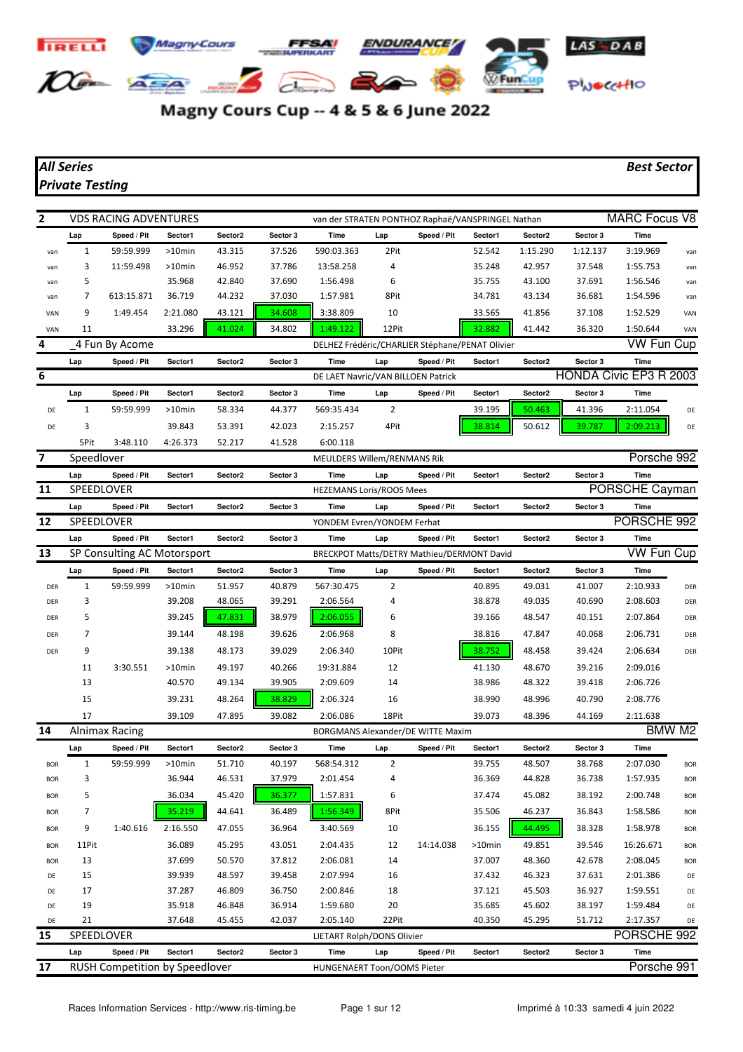

Magny Cours Cup -- 4 & 5 & 6 June 2022

## *All Series Best Sector Private Testing*

| 2          |                   | <b>VDS RACING ADVENTURES</b>               |           |         |          | van der STRATEN PONTHOZ Raphaë/VANSPRINGEL Nathan  |       |             |           |          |          | <b>MARC Focus V8</b>      |            |
|------------|-------------------|--------------------------------------------|-----------|---------|----------|----------------------------------------------------|-------|-------------|-----------|----------|----------|---------------------------|------------|
|            | Lap               | Speed / Pit                                | Sector1   | Sector2 | Sector 3 | Time                                               | Lap   | Speed / Pit | Sector1   | Sector2  | Sector 3 | Time                      |            |
| van        | 1                 | 59:59.999                                  | $>10$ min | 43.315  | 37.526   | 590:03.363                                         | 2Pit  |             | 52.542    | 1:15.290 | 1:12.137 | 3:19.969                  | van        |
| van        | 3                 | 11:59.498                                  | >10min    | 46.952  | 37.786   | 13:58.258                                          | 4     |             | 35.248    | 42.957   | 37.548   | 1:55.753                  | van        |
| van        | 5                 |                                            | 35.968    | 42.840  | 37.690   | 1:56.498                                           | 6     |             | 35.755    | 43.100   | 37.691   | 1:56.546                  | van        |
| van        | 7                 | 613:15.871                                 | 36.719    | 44.232  | 37.030   | 1:57.981                                           | 8Pit  |             | 34.781    | 43.134   | 36.681   | 1:54.596                  | van        |
| VAN        | 9                 | 1:49.454                                   | 2:21.080  | 43.121  | 34.608   | 3:38.809                                           | 10    |             | 33.565    | 41.856   | 37.108   | 1:52.529                  | VAN        |
| VAN        | 11                |                                            | 33.296    | 41.024  | 34.802   | 1:49.122                                           | 12Pit |             | 32.882    | 41.442   | 36.320   | 1:50.644                  | VAN        |
| 4          |                   | 4 Fun By Acome                             |           |         |          | DELHEZ Frédéric/CHARLIER Stéphane/PENAT Olivier    |       |             |           |          |          | <b>VW Fun Cup</b>         |            |
|            | Lap               | Speed / Pit                                | Sector1   | Sector2 | Sector 3 | Time                                               | Lap   | Speed / Pit | Sector1   | Sector2  | Sector 3 | Time                      |            |
| 6          |                   |                                            |           |         |          | DE LAET Navric/VAN BILLOEN Patrick                 |       |             |           |          |          | HONDA Civic EP3 R 2003    |            |
|            | Lap               | Speed / Pit                                | Sector1   | Sector2 | Sector 3 | Time                                               | Lap   | Speed / Pit | Sector1   | Sector2  | Sector 3 | Time                      |            |
| DE         | 1                 | 59:59.999                                  | >10min    | 58.334  | 44.377   | 569:35.434                                         | 2     |             | 39.195    | 50.463   | 41.396   | 2:11.054                  | DE         |
| DE         | 3                 |                                            | 39.843    | 53.391  | 42.023   | 2:15.257                                           | 4Pit  |             | 38.814    | 50.612   | 39.787   | 2:09.213                  | DE         |
|            | 5Pit              | 3:48.110                                   | 4:26.373  | 52.217  | 41.528   | 6:00.118                                           |       |             |           |          |          |                           |            |
| 7          | Speedlover        |                                            |           |         |          | <b>MEULDERS Willem/RENMANS Rik</b>                 |       |             |           |          |          | Porsche 992               |            |
|            | Lap               | Speed / Pit                                | Sector1   | Sector2 | Sector 3 | Time                                               | Lap   | Speed / Pit | Sector1   | Sector2  | Sector 3 | Time<br>PORSCHE Cayman    |            |
| 11         | SPEEDLOVER        |                                            |           |         |          | <b>HEZEMANS Loris/ROOS Mees</b>                    |       |             |           |          |          |                           |            |
| 12         | Lap<br>SPEEDLOVER | Speed / Pit                                | Sector1   | Sector2 | Sector 3 | Time                                               | Lap   | Speed / Pit | Sector1   | Sector2  | Sector 3 | Time<br>PORSCHE 992       |            |
|            |                   |                                            |           |         |          | YONDEM Evren/YONDEM Ferhat                         |       |             |           |          |          |                           |            |
| 13         | Lap               | Speed / Pit<br>SP Consulting AC Motorsport | Sector1   | Sector2 | Sector 3 | Time<br>BRECKPOT Matts/DETRY Mathieu/DERMONT David | Lap   | Speed / Pit | Sector1   | Sector2  | Sector 3 | Time<br><b>VW Fun Cup</b> |            |
|            | Lap               | Speed / Pit                                | Sector1   | Sector2 | Sector 3 | Time                                               | Lap   | Speed / Pit | Sector1   | Sector2  | Sector 3 | <b>Time</b>               |            |
| DER        | $\mathbf{1}$      | 59:59.999                                  | >10min    | 51.957  | 40.879   | 567:30.475                                         | 2     |             | 40.895    | 49.031   | 41.007   | 2:10.933                  | DER        |
| DER        | 3                 |                                            | 39.208    | 48.065  | 39.291   | 2:06.564                                           | 4     |             | 38.878    | 49.035   | 40.690   | 2:08.603                  | DER        |
| DER        | 5                 |                                            | 39.245    | 47.831  | 38.979   | 2:06.055                                           | 6     |             | 39.166    | 48.547   | 40.151   | 2:07.864                  | DER        |
| DER        | 7                 |                                            | 39.144    | 48.198  | 39.626   | 2:06.968                                           | 8     |             | 38.816    | 47.847   | 40.068   | 2:06.731                  | DER        |
| DER        | 9                 |                                            | 39.138    | 48.173  | 39.029   | 2:06.340                                           | 10Pit |             | 38.752    | 48.458   | 39.424   | 2:06.634                  | DER        |
|            | 11                | 3:30.551                                   | >10min    | 49.197  | 40.266   | 19:31.884                                          | 12    |             | 41.130    | 48.670   | 39.216   | 2:09.016                  |            |
|            | 13                |                                            | 40.570    | 49.134  | 39.905   | 2:09.609                                           | 14    |             | 38.986    | 48.322   | 39.418   | 2:06.726                  |            |
|            | 15                |                                            | 39.231    | 48.264  | 38.829   | 2:06.324                                           | 16    |             | 38.990    | 48.996   | 40.790   | 2:08.776                  |            |
|            | 17                |                                            | 39.109    | 47.895  | 39.082   | 2:06.086                                           | 18Pit |             | 39.073    | 48.396   | 44.169   | 2:11.638                  |            |
| 14         |                   | Alnimax Racing                             |           |         |          | BORGMANS Alexander/DE WITTE Maxim                  |       |             |           |          |          |                           | BMW M2     |
|            | Lap               | Speed / Pit                                | Sector1   | Sector2 | Sector 3 | Time                                               | Lap   | Speed / Pit | Sector1   | Sector2  | Sector 3 | Time                      |            |
| <b>BOR</b> | 1                 | 59:59.999                                  | $>10$ min | 51.710  | 40.197   | 568:54.312                                         | 2     |             | 39.755    | 48.507   | 38.768   | 2:07.030                  | <b>BOR</b> |
| <b>BOR</b> | 3                 |                                            | 36.944    | 46.531  | 37.979   | 2:01.454                                           | 4     |             | 36.369    | 44.828   | 36.738   | 1:57.935                  | <b>BOR</b> |
| <b>BOR</b> | 5                 |                                            | 36.034    | 45.420  | 36.377   | 1:57.831                                           | 6     |             | 37.474    | 45.082   | 38.192   | 2:00.748                  | <b>BOR</b> |
| <b>BOR</b> | 7                 |                                            | 35.219    | 44.641  | 36.489   | 1:56.349                                           | 8Pit  |             | 35.506    | 46.237   | 36.843   | 1:58.586                  | <b>BOR</b> |
| <b>BOR</b> | 9                 | 1:40.616                                   | 2:16.550  | 47.055  | 36.964   | 3:40.569                                           | 10    |             | 36.155    | 44.495   | 38.328   | 1:58.978                  | <b>BOR</b> |
| <b>BOR</b> | 11Pit             |                                            | 36.089    | 45.295  | 43.051   | 2:04.435                                           | 12    | 14:14.038   | $>10$ min | 49.851   | 39.546   | 16:26.671                 | <b>BOR</b> |
| <b>BOR</b> | 13                |                                            | 37.699    | 50.570  | 37.812   | 2:06.081                                           | 14    |             | 37.007    | 48.360   | 42.678   | 2:08.045                  | <b>BOR</b> |
| DE         | 15                |                                            | 39.939    | 48.597  | 39.458   | 2:07.994                                           | 16    |             | 37.432    | 46.323   | 37.631   | 2:01.386                  | DE         |
| DE         | 17                |                                            | 37.287    | 46.809  | 36.750   | 2:00.846                                           | 18    |             | 37.121    | 45.503   | 36.927   | 1:59.551                  | DE         |
| DE         | 19                |                                            | 35.918    | 46.848  | 36.914   | 1:59.680                                           | 20    |             | 35.685    | 45.602   | 38.197   | 1:59.484                  | DE         |
| DE         | 21                |                                            | 37.648    | 45.455  | 42.037   | 2:05.140                                           | 22Pit |             | 40.350    | 45.295   | 51.712   | 2:17.357                  | DE         |
| 15         | SPEEDLOVER        |                                            |           |         |          | LIETART Rolph/DONS Olivier                         |       |             |           |          |          | PORSCHE 992               |            |
|            | Lap               | Speed / Pit                                | Sector1   | Sector2 | Sector 3 | Time                                               | Lap   | Speed / Pit | Sector1   | Sector2  | Sector 3 | Time                      |            |
| 17         |                   | RUSH Competition by Speedlover             |           |         |          | HUNGENAERT Toon/OOMS Pieter                        |       |             |           |          |          | Porsche 991               |            |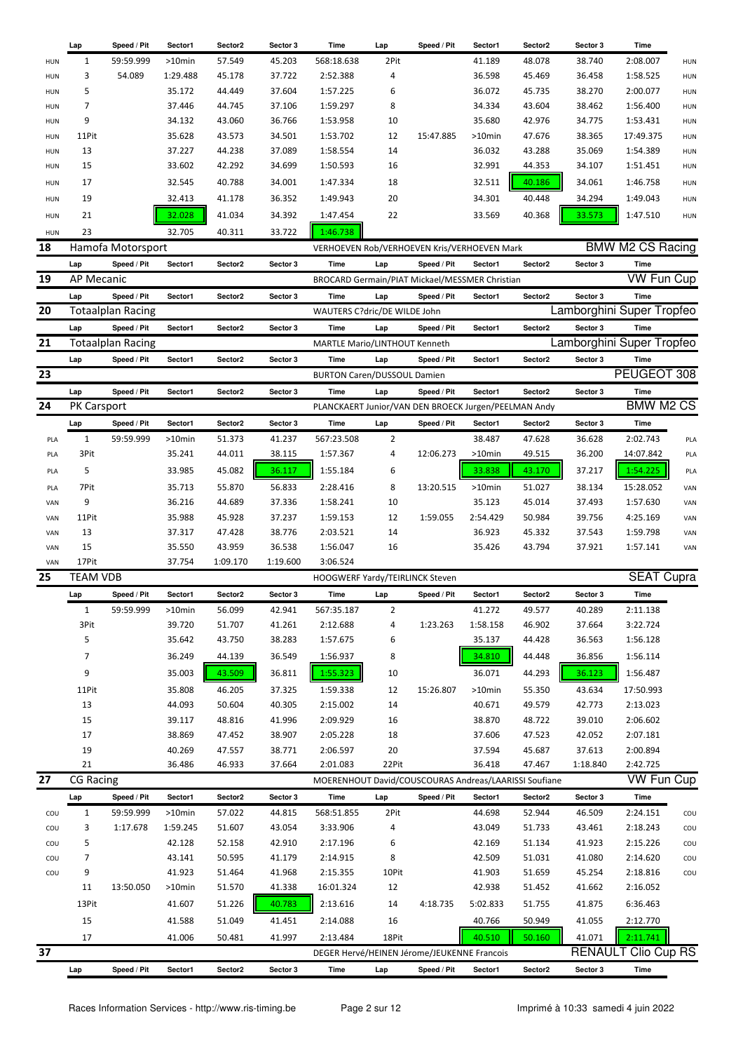|            | Lap                | Speed / Pit              | Sector1   | Sector2  | Sector 3 | Time                                                  | Lap            | Speed / Pit                                    | Sector1   | Sector2 | Sector 3 | Time                       |            |
|------------|--------------------|--------------------------|-----------|----------|----------|-------------------------------------------------------|----------------|------------------------------------------------|-----------|---------|----------|----------------------------|------------|
| <b>HUN</b> | 1                  | 59:59.999                | $>10$ min | 57.549   | 45.203   | 568:18.638                                            | 2Pit           |                                                | 41.189    | 48.078  | 38.740   | 2:08.007                   | HUN        |
| <b>HUN</b> | 3                  | 54.089                   | 1:29.488  | 45.178   | 37.722   | 2:52.388                                              | 4              |                                                | 36.598    | 45.469  | 36.458   | 1:58.525                   | <b>HUN</b> |
| <b>HUN</b> | 5                  |                          | 35.172    | 44.449   | 37.604   | 1:57.225                                              | 6              |                                                | 36.072    | 45.735  | 38.270   | 2:00.077                   | HUN        |
| <b>HUN</b> | $\overline{7}$     |                          | 37.446    | 44.745   | 37.106   | 1:59.297                                              | 8              |                                                | 34.334    | 43.604  | 38.462   | 1:56.400                   | <b>HUN</b> |
| <b>HUN</b> | 9                  |                          | 34.132    | 43.060   | 36.766   | 1:53.958                                              | 10             |                                                | 35.680    | 42.976  | 34.775   | 1:53.431                   | HUN        |
| <b>HUN</b> | 11Pit              |                          | 35.628    | 43.573   | 34.501   | 1:53.702                                              | 12             | 15:47.885                                      | $>10$ min | 47.676  | 38.365   | 17:49.375                  | <b>HUN</b> |
| <b>HUN</b> | 13                 |                          | 37.227    | 44.238   | 37.089   | 1:58.554                                              | 14             |                                                | 36.032    | 43.288  | 35.069   | 1:54.389                   | <b>HUN</b> |
| <b>HUN</b> | 15                 |                          | 33.602    | 42.292   | 34.699   | 1:50.593                                              | 16             |                                                | 32.991    | 44.353  | 34.107   | 1:51.451                   | HUN        |
| HUN        | 17                 |                          | 32.545    | 40.788   | 34.001   | 1:47.334                                              | 18             |                                                | 32.511    | 40.186  | 34.061   | 1:46.758                   | HUN        |
| <b>HUN</b> | 19                 |                          | 32.413    | 41.178   | 36.352   | 1:49.943                                              | 20             |                                                | 34.301    | 40.448  | 34.294   | 1:49.043                   | <b>HUN</b> |
|            |                    |                          |           |          |          |                                                       |                |                                                |           |         |          |                            |            |
| HUN        | 21                 |                          | 32.028    | 41.034   | 34.392   | 1:47.454                                              | 22             |                                                | 33.569    | 40.368  | 33.573   | 1:47.510                   | HUN        |
| <b>HUN</b> | 23                 |                          | 32.705    | 40.311   | 33.722   | 1:46.738                                              |                |                                                |           |         |          |                            |            |
| 18         |                    | Hamofa Motorsport        |           |          |          |                                                       |                | VERHOEVEN Rob/VERHOEVEN Kris/VERHOEVEN Mark    |           |         |          | <b>BMW M2 CS Racing</b>    |            |
|            | Lap                | Speed / Pit              | Sector1   | Sector2  | Sector 3 | Time                                                  | Lap            | Speed / Pit                                    | Sector1   | Sector2 | Sector 3 | Time                       |            |
| 19         | AP Mecanic         |                          |           |          |          |                                                       |                | BROCARD Germain/PIAT Mickael/MESSMER Christian |           |         |          | VW Fun Cup                 |            |
|            | Lap                | Speed / Pit              | Sector1   | Sector2  | Sector 3 | Time                                                  | Lap            | Speed / Pit                                    | Sector1   | Sector2 | Sector 3 | <b>Time</b>                |            |
| 20         |                    | <b>Totaalplan Racing</b> |           |          |          | WAUTERS C?dric/DE WILDE John                          |                |                                                |           |         |          | Lamborghini Super Tropfeo  |            |
|            | Lap                | Speed / Pit              | Sector1   | Sector2  | Sector 3 | Time                                                  | Lap            | Speed / Pit                                    | Sector1   | Sector2 | Sector 3 | Time                       |            |
| 21         |                    | <b>Totaalplan Racing</b> |           |          |          | <b>MARTLE Mario/LINTHOUT Kenneth</b>                  |                |                                                |           |         |          | Lamborghini Super Tropfeo  |            |
|            | Lap                | Speed / Pit              | Sector1   | Sector2  | Sector 3 | Time                                                  | Lap            | Speed / Pit                                    | Sector1   | Sector2 | Sector 3 | <b>Time</b>                |            |
| 23         |                    |                          |           |          |          | <b>BURTON Caren/DUSSOUL Damien</b>                    |                |                                                |           |         |          | PEUGEOT 308                |            |
|            | Lap                | Speed / Pit              | Sector1   | Sector2  | Sector 3 | Time                                                  | Lap            | Speed / Pit                                    | Sector1   | Sector2 | Sector 3 | Time                       |            |
| 24         | <b>PK Carsport</b> |                          |           |          |          | PLANCKAERT Junior/VAN DEN BROECK Jurgen/PEELMAN Andy  |                |                                                |           |         |          | <b>BMW M2 CS</b>           |            |
|            |                    |                          |           |          |          |                                                       |                |                                                |           |         |          |                            |            |
|            | Lap                | Speed / Pit              | Sector1   | Sector2  | Sector 3 | Time                                                  | Lap            | Speed / Pit                                    | Sector1   | Sector2 | Sector 3 | <b>Time</b>                |            |
| PLA        | $\mathbf{1}$       | 59:59.999                | $>10$ min | 51.373   | 41.237   | 567:23.508                                            | $\overline{2}$ |                                                | 38.487    | 47.628  | 36.628   | 2:02.743                   | PLA        |
| PLA        | 3Pit               |                          | 35.241    | 44.011   | 38.115   | 1:57.367                                              | 4              | 12:06.273                                      | >10min    | 49.515  | 36.200   | 14:07.842                  | PLA        |
| PLA        | 5                  |                          | 33.985    | 45.082   | 36.117   | 1:55.184                                              | 6              |                                                | 33.838    | 43.170  | 37.217   | 1:54.225                   | PLA        |
| PLA        | 7Pit               |                          | 35.713    | 55.870   | 56.833   | 2:28.416                                              | 8              | 13:20.515                                      | $>10$ min | 51.027  | 38.134   | 15:28.052                  | VAN        |
| VAN        | 9                  |                          | 36.216    | 44.689   | 37.336   | 1:58.241                                              | 10             |                                                | 35.123    | 45.014  | 37.493   | 1:57.630                   | VAN        |
| VAN        | 11Pit              |                          | 35.988    | 45.928   | 37.237   | 1:59.153                                              | 12             | 1:59.055                                       | 2:54.429  | 50.984  | 39.756   | 4:25.169                   | VAN        |
| VAN        | 13                 |                          | 37.317    | 47.428   | 38.776   | 2:03.521                                              | 14             |                                                | 36.923    | 45.332  | 37.543   | 1:59.798                   | VAN        |
| VAN        | 15                 |                          | 35.550    | 43.959   | 36.538   | 1:56.047                                              | 16             |                                                | 35.426    | 43.794  | 37.921   | 1:57.141                   | VAN        |
| VAN        | 17Pit              |                          | 37.754    | 1:09.170 | 1:19.600 | 3:06.524                                              |                |                                                |           |         |          |                            |            |
| 25         | <b>TEAM VDB</b>    |                          |           |          |          | HOOGWERF Yardy/TEIRLINCK Steven                       |                |                                                |           |         |          | SEAT                       | Cupra      |
|            | Lap                | Speed / Pit              | Sector1   | Sector2  | Sector 3 | Time                                                  | Lap            | Speed / Pit                                    | Sector1   | Sector2 | Sector 3 | Time                       |            |
|            | 1                  | 59:59.999                | >10min    | 56.099   | 42.941   | 567:35.187                                            | 2              |                                                | 41.272    | 49.577  | 40.289   | 2:11.138                   |            |
|            | 3Pit               |                          | 39.720    | 51.707   | 41.261   | 2:12.688                                              | 4              | 1:23.263                                       | 1:58.158  | 46.902  | 37.664   | 3:22.724                   |            |
|            | 5                  |                          | 35.642    | 43.750   | 38.283   | 1:57.675                                              | 6              |                                                | 35.137    | 44.428  | 36.563   | 1:56.128                   |            |
|            | $\overline{7}$     |                          | 36.249    | 44.139   | 36.549   | 1:56.937                                              | 8              |                                                | 34.810    | 44.448  | 36.856   | 1:56.114                   |            |
|            |                    |                          |           |          |          |                                                       |                |                                                |           |         |          |                            |            |
|            | 9                  |                          | 35.003    | 43.509   | 36.811   | 1:55.323                                              | 10             |                                                | 36.071    | 44.293  | 36.123   | 1:56.487                   |            |
|            | 11Pit              |                          | 35.808    | 46.205   | 37.325   | 1:59.338                                              | 12             | 15:26.807                                      | >10min    | 55.350  | 43.634   | 17:50.993                  |            |
|            | 13                 |                          | 44.093    | 50.604   | 40.305   | 2:15.002                                              | 14             |                                                | 40.671    | 49.579  | 42.773   | 2:13.023                   |            |
|            | 15                 |                          | 39.117    | 48.816   | 41.996   | 2:09.929                                              | 16             |                                                | 38.870    | 48.722  | 39.010   | 2:06.602                   |            |
|            | 17                 |                          | 38.869    | 47.452   | 38.907   | 2:05.228                                              | 18             |                                                | 37.606    | 47.523  | 42.052   | 2:07.181                   |            |
|            | 19                 |                          | 40.269    | 47.557   | 38.771   | 2:06.597                                              | 20             |                                                | 37.594    | 45.687  | 37.613   | 2:00.894                   |            |
|            | 21                 |                          | 36.486    | 46.933   | 37.664   | 2:01.083                                              | 22Pit          |                                                | 36.418    | 47.467  | 1:18.840 | 2:42.725                   |            |
| 27         | <b>CG Racing</b>   |                          |           |          |          | MOERENHOUT David/COUSCOURAS Andreas/LAARISSI Soufiane |                |                                                |           |         |          | <b>VW Fun Cup</b>          |            |
|            | Lap                | Speed / Pit              | Sector1   | Sector2  | Sector 3 | Time                                                  | Lap            | Speed / Pit                                    | Sector1   | Sector2 | Sector 3 | <b>Time</b>                |            |
| COU        | $\mathbf{1}$       | 59:59.999                | >10min    | 57.022   | 44.815   | 568:51.855                                            | 2Pit           |                                                | 44.698    | 52.944  | 46.509   | 2:24.151                   | cou        |
| COU        | 3                  | 1:17.678                 | 1:59.245  | 51.607   | 43.054   | 3:33.906                                              | 4              |                                                | 43.049    | 51.733  | 43.461   | 2:18.243                   | COU        |
| COU        | 5                  |                          | 42.128    | 52.158   | 42.910   | 2:17.196                                              | 6              |                                                | 42.169    | 51.134  | 41.923   | 2:15.226                   | COU        |
| COU        | 7                  |                          | 43.141    | 50.595   | 41.179   | 2:14.915                                              | 8              |                                                | 42.509    | 51.031  | 41.080   | 2:14.620                   | COU        |
| COU        | 9                  |                          | 41.923    | 51.464   | 41.968   | 2:15.355                                              | 10Pit          |                                                | 41.903    | 51.659  | 45.254   | 2:18.816                   | cou        |
|            | 11                 | 13:50.050                | >10min    | 51.570   | 41.338   | 16:01.324                                             | 12             |                                                | 42.938    | 51.452  | 41.662   | 2:16.052                   |            |
|            | 13Pit              |                          | 41.607    | 51.226   | 40.783   | 2:13.616                                              | 14             | 4:18.735                                       | 5:02.833  | 51.755  | 41.875   | 6:36.463                   |            |
|            | 15                 |                          | 41.588    | 51.049   | 41.451   | 2:14.088                                              | 16             |                                                | 40.766    | 50.949  | 41.055   | 2:12.770                   |            |
|            |                    |                          |           |          |          |                                                       |                |                                                |           |         |          |                            |            |
|            | 17                 |                          | 41.006    | 50.481   | 41.997   | 2:13.484                                              | 18Pit          |                                                | 40.510    | 50.160  | 41.071   | 2:11.741                   |            |
| 37         |                    |                          |           |          |          |                                                       |                | DEGER Hervé/HEINEN Jérome/JEUKENNE Francois    |           |         |          | <b>RENAULT Clio Cup RS</b> |            |
|            | Lap                | Speed / Pit              | Sector1   | Sector2  | Sector 3 | Time                                                  | Lap            | Speed / Pit                                    | Sector1   | Sector2 | Sector 3 | Time                       |            |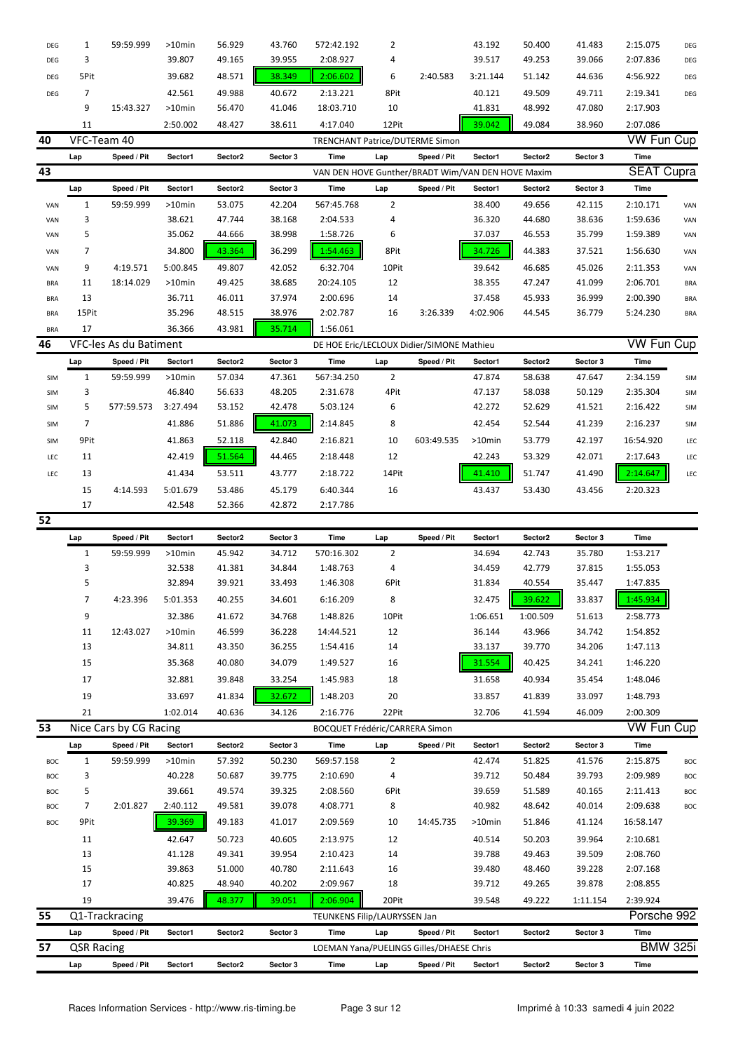| DEG        | 1                 | 59:59.999              | >10min    | 56.929  | 43.760   | 572:42.192                            | 2              |                                                   | 43.192   | 50.400   | 41.483   | 2:15.075          | DEG             |
|------------|-------------------|------------------------|-----------|---------|----------|---------------------------------------|----------------|---------------------------------------------------|----------|----------|----------|-------------------|-----------------|
| DEG        | 3                 |                        | 39.807    | 49.165  | 39.955   | 2:08.927                              | 4              |                                                   | 39.517   | 49.253   | 39.066   | 2:07.836          | DEG             |
| DEG        | 5Pit              |                        | 39.682    | 48.571  | 38.349   | 2:06.602                              | 6              | 2:40.583                                          | 3:21.144 | 51.142   | 44.636   | 4:56.922          | DEG             |
| DEG        | 7                 |                        | 42.561    | 49.988  | 40.672   | 2:13.221                              | 8Pit           |                                                   | 40.121   | 49.509   | 49.711   | 2:19.341          | DEG             |
|            | 9                 | 15:43.327              | >10min    | 56.470  | 41.046   | 18:03.710                             | 10             |                                                   | 41.831   | 48.992   | 47.080   | 2:17.903          |                 |
|            | 11                |                        | 2:50.002  | 48.427  | 38.611   | 4:17.040                              | 12Pit          |                                                   | 39.042   | 49.084   | 38.960   | 2:07.086          |                 |
| 40         | VFC-Team 40       |                        |           |         |          | TRENCHANT Patrice/DUTERME Simon       |                |                                                   |          |          |          | <b>VW Fun Cup</b> |                 |
|            | Lap               | Speed / Pit            | Sector1   | Sector2 | Sector 3 | Time                                  | Lap            | Speed / Pit                                       | Sector1  | Sector2  | Sector 3 | Time              |                 |
| 43         |                   |                        |           |         |          |                                       |                | VAN DEN HOVE Gunther/BRADT Wim/VAN DEN HOVE Maxim |          |          |          | <b>SEAT Cupra</b> |                 |
|            | Lap               | Speed / Pit            | Sector1   | Sector2 | Sector 3 | Time                                  | Lap            | Speed / Pit                                       | Sector1  | Sector2  | Sector 3 | Time              |                 |
| VAN        | 1                 | 59:59.999              | >10min    | 53.075  | 42.204   | 567:45.768                            | $\overline{2}$ |                                                   | 38.400   | 49.656   | 42.115   | 2:10.171          | VAN             |
| VAN        | 3                 |                        | 38.621    | 47.744  | 38.168   | 2:04.533                              | 4              |                                                   | 36.320   | 44.680   | 38.636   | 1:59.636          | VAN             |
| VAN        | 5                 |                        | 35.062    | 44.666  | 38.998   | 1:58.726                              | 6              |                                                   | 37.037   | 46.553   | 35.799   | 1:59.389          | VAN             |
| VAN        | 7                 |                        | 34.800    | 43.364  | 36.299   | 1:54.463                              | 8Pit           |                                                   | 34.726   | 44.383   | 37.521   | 1:56.630          | VAN             |
| VAN        | 9                 | 4:19.571               | 5:00.845  | 49.807  | 42.052   | 6:32.704                              | 10Pit          |                                                   | 39.642   | 46.685   | 45.026   | 2:11.353          | VAN             |
| <b>BRA</b> | 11                | 18:14.029              | $>10$ min | 49.425  | 38.685   | 20:24.105                             | 12             |                                                   | 38.355   | 47.247   | 41.099   | 2:06.701          | <b>BRA</b>      |
| <b>BRA</b> | 13                |                        | 36.711    | 46.011  | 37.974   | 2:00.696                              | 14             |                                                   | 37.458   | 45.933   | 36.999   | 2:00.390          | <b>BRA</b>      |
| <b>BRA</b> | 15Pit             |                        | 35.296    | 48.515  | 38.976   | 2:02.787                              | 16             | 3:26.339                                          | 4:02.906 | 44.545   | 36.779   | 5:24.230          | <b>BRA</b>      |
| <b>BRA</b> | 17                |                        | 36.366    | 43.981  | 35.714   | 1:56.061                              |                |                                                   |          |          |          |                   |                 |
| 46         |                   | VFC-les As du Batiment |           |         |          |                                       |                | DE HOE Eric/LECLOUX Didier/SIMONE Mathieu         |          |          |          | <b>VW Fun Cup</b> |                 |
|            | Lap               | Speed / Pit            | Sector1   | Sector2 | Sector 3 | Time                                  | Lap            | Speed / Pit                                       | Sector1  | Sector2  | Sector 3 | Time              |                 |
| <b>SIM</b> | $\mathbf{1}$      | 59:59.999              | $>10$ min | 57.034  | 47.361   | 567:34.250                            | $\overline{2}$ |                                                   | 47.874   | 58.638   | 47.647   | 2:34.159          | SIM             |
| SIM        | 3                 |                        | 46.840    | 56.633  | 48.205   | 2:31.678                              | 4Pit           |                                                   | 47.137   | 58.038   | 50.129   | 2:35.304          | SIM             |
| SIM        | 5                 | 577:59.573             | 3:27.494  | 53.152  | 42.478   | 5:03.124                              | 6              |                                                   | 42.272   | 52.629   | 41.521   | 2:16.422          | SIM             |
| SIM        | 7                 |                        | 41.886    | 51.886  | 41.073   | 2:14.845                              | 8              |                                                   | 42.454   | 52.544   | 41.239   | 2:16.237          | SIM             |
| SIM        | 9Pit              |                        | 41.863    | 52.118  | 42.840   | 2:16.821                              | 10             | 603:49.535                                        | >10min   | 53.779   | 42.197   | 16:54.920         | LEC             |
| LEC        | 11                |                        | 42.419    | 51.564  | 44.465   | 2:18.448                              | 12             |                                                   | 42.243   | 53.329   | 42.071   | 2:17.643          | LEC             |
| LEC        | 13                |                        | 41.434    | 53.511  | 43.777   | 2:18.722                              | 14Pit          |                                                   | 41.410   | 51.747   | 41.490   | 2:14.647          | LEC             |
|            | 15                | 4:14.593               | 5:01.679  | 53.486  | 45.179   | 6:40.344                              | 16             |                                                   | 43.437   | 53.430   | 43.456   | 2:20.323          |                 |
|            | 17                |                        | 42.548    | 52.366  | 42.872   | 2:17.786                              |                |                                                   |          |          |          |                   |                 |
| 52         |                   |                        |           |         |          |                                       |                |                                                   |          |          |          |                   |                 |
|            | Lap               | Speed / Pit            | Sector1   | Sector2 | Sector 3 | Time                                  | Lap            | Speed / Pit                                       | Sector1  | Sector2  | Sector 3 | <b>Time</b>       |                 |
|            | $\mathbf{1}$      | 59:59.999              | >10min    | 45.942  | 34.712   | 570:16.302                            | 2              |                                                   | 34.694   | 42.743   | 35.780   | 1:53.217          |                 |
|            | 3                 |                        | 32.538    | 41.381  | 34.844   | 1:48.763                              | 4              |                                                   | 34.459   | 42.779   | 37.815   | 1:55.053          |                 |
|            | 5                 |                        | 32.894    | 39.921  | 33.493   | 1:46.308                              | 6Pit           |                                                   | 31.834   | 40.554   | 35.447   | 1:47.835          |                 |
|            |                   | 4:23.396               | 5:01.353  | 40.255  | 34.601   | 6:16.209                              | 8              |                                                   | 32.475   | 39.622   | 33.837   | 1:45.934          |                 |
|            | 9                 |                        | 32.386    | 41.672  | 34.768   | 1:48.826                              | 10Pit          |                                                   | 1:06.651 | 1:00.509 | 51.613   | 2:58.773          |                 |
|            | 11                | 12:43.027              | >10min    | 46.599  | 36.228   | 14:44.521                             | 12             |                                                   | 36.144   | 43.966   | 34.742   | 1:54.852          |                 |
|            | 13                |                        | 34.811    | 43.350  | 36.255   | 1:54.416                              | 14             |                                                   | 33.137   | 39.770   | 34.206   | 1:47.113          |                 |
|            | 15                |                        | 35.368    | 40.080  | 34.079   | 1:49.527                              | 16             |                                                   | 31.554   | 40.425   | 34.241   | 1:46.220          |                 |
|            | 17                |                        | 32.881    | 39.848  | 33.254   | 1:45.983                              | 18             |                                                   | 31.658   | 40.934   | 35.454   | 1:48.046          |                 |
|            | 19                |                        | 33.697    | 41.834  | 32.672   | 1:48.203                              | 20             |                                                   | 33.857   | 41.839   | 33.097   | 1:48.793          |                 |
|            | 21                |                        | 1:02.014  | 40.636  | 34.126   | 2:16.776                              | 22Pit          |                                                   | 32.706   | 41.594   | 46.009   | 2:00.309          |                 |
| 53         |                   | Nice Cars by CG Racing |           |         |          | <b>BOCQUET Frédéric/CARRERA Simon</b> |                |                                                   |          |          |          | VW Fun Cup        |                 |
|            | Lap               | Speed / Pit            | Sector1   | Sector2 | Sector 3 | Time                                  | Lap            | Speed / Pit                                       | Sector1  | Sector2  | Sector 3 | Time              |                 |
| BOC        | $\mathbf{1}$      | 59:59.999              | >10min    | 57.392  | 50.230   | 569:57.158                            | $\overline{2}$ |                                                   | 42.474   | 51.825   | 41.576   | 2:15.875          | BOC             |
| BOC        | 3                 |                        | 40.228    | 50.687  | 39.775   | 2:10.690                              | 4              |                                                   | 39.712   | 50.484   | 39.793   | 2:09.989          | BOC             |
| BOC        | 5                 |                        | 39.661    | 49.574  | 39.325   | 2:08.560                              | 6Pit           |                                                   | 39.659   | 51.589   | 40.165   | 2:11.413          | BOC             |
| BOC        | 7                 | 2:01.827               | 2:40.112  | 49.581  | 39.078   | 4:08.771                              | 8              |                                                   | 40.982   | 48.642   | 40.014   | 2:09.638          | BOC             |
| BOC        | 9Pit              |                        | 39.369    | 49.183  | 41.017   | 2:09.569                              | 10             | 14:45.735                                         | >10min   | 51.846   | 41.124   | 16:58.147         |                 |
|            | 11                |                        | 42.647    | 50.723  | 40.605   | 2:13.975                              | 12             |                                                   | 40.514   | 50.203   | 39.964   | 2:10.681          |                 |
|            | 13                |                        | 41.128    | 49.341  | 39.954   | 2:10.423                              | 14             |                                                   | 39.788   | 49.463   | 39.509   | 2:08.760          |                 |
|            | 15                |                        | 39.863    | 51.000  | 40.780   | 2:11.643                              | 16             |                                                   | 39.480   | 48.460   | 39.228   | 2:07.168          |                 |
|            | 17                |                        | 40.825    | 48.940  | 40.202   | 2:09.967                              | 18             |                                                   | 39.712   | 49.265   | 39.878   | 2:08.855          |                 |
|            | 19                |                        | 39.476    | 48.377  | 39.051   | 2:06.904                              | 20Pit          |                                                   | 39.548   | 49.222   | 1:11.154 | 2:39.924          |                 |
| 55         |                   | Q1-Trackracing         |           |         |          | TEUNKENS Filip/LAURYSSEN Jan          |                |                                                   |          |          |          | Porsche 992       |                 |
|            | Lap               | Speed / Pit            | Sector1   | Sector2 | Sector 3 | Time                                  | Lap            | Speed / Pit                                       | Sector1  | Sector2  | Sector 3 | Time              |                 |
| 57         | <b>QSR Racing</b> |                        |           |         |          |                                       |                | LOEMAN Yana/PUELINGS Gilles/DHAESE Chris          |          |          |          |                   | <b>BMW 325i</b> |
|            | Lap               | Speed / Pit            | Sector1   | Sector2 | Sector 3 | Time                                  | Lap            | Speed / Pit                                       | Sector1  | Sector2  | Sector 3 | Time              |                 |
|            |                   |                        |           |         |          |                                       |                |                                                   |          |          |          |                   |                 |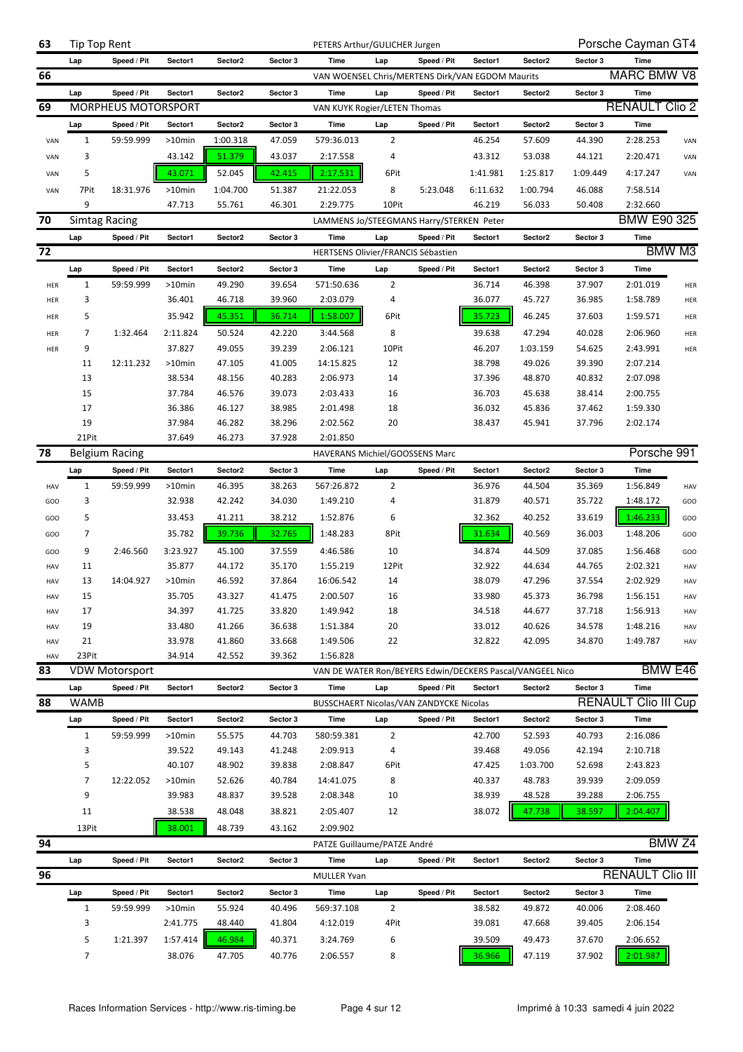| 63         | Tip Top Rent         |                            |           |          |          | PETERS Arthur/GULICHER Jurgen                             |                |                                                  |          |          |          | Porsche Cayman GT4              |                   |
|------------|----------------------|----------------------------|-----------|----------|----------|-----------------------------------------------------------|----------------|--------------------------------------------------|----------|----------|----------|---------------------------------|-------------------|
|            | Lap                  | Speed / Pit                | Sector1   | Sector2  | Sector 3 | Time                                                      | Lap            | Speed / Pit                                      | Sector1  | Sector2  | Sector 3 | <b>Time</b>                     |                   |
| 66         |                      |                            |           |          |          |                                                           |                | VAN WOENSEL Chris/MERTENS Dirk/VAN EGDOM Maurits |          |          |          | <b>MARC BMW V8</b>              |                   |
|            | Lap                  | Speed / Pit                | Sector1   | Sector2  | Sector 3 | Time                                                      | Lap            | Speed / Pit                                      | Sector1  | Sector2  | Sector 3 | Time                            |                   |
| 69         |                      | <b>MORPHEUS MOTORSPORT</b> |           |          |          | VAN KUYK Rogier/LETEN Thomas                              |                |                                                  |          |          |          | <b>RENAULT Clio 2</b>           |                   |
|            | Lap                  | Speed / Pit                | Sector1   | Sector2  | Sector 3 | Time                                                      | Lap            | Speed / Pit                                      | Sector1  | Sector2  | Sector 3 | <b>Time</b>                     |                   |
| VAN        | $\mathbf{1}$         | 59:59.999                  | $>10$ min | 1:00.318 | 47.059   | 579:36.013                                                | $\overline{2}$ |                                                  | 46.254   | 57.609   | 44.390   | 2:28.253                        | VAN               |
|            |                      |                            |           | 51.379   |          |                                                           | 4              |                                                  |          |          |          |                                 |                   |
| VAN        | 3                    |                            | 43.142    |          | 43.037   | 2:17.558                                                  |                |                                                  | 43.312   | 53.038   | 44.121   | 2:20.471                        | VAN               |
| VAN        | 5                    |                            | 43.071    | 52.045   | 42.415   | 2:17.531                                                  | 6Pit           |                                                  | 1:41.981 | 1:25.817 | 1:09.449 | 4:17.247                        | VAN               |
| VAN        | 7Pit                 | 18:31.976                  | $>10$ min | 1:04.700 | 51.387   | 21:22.053                                                 | 8              | 5:23.048                                         | 6:11.632 | 1:00.794 | 46.088   | 7:58.514                        |                   |
|            | 9                    |                            | 47.713    | 55.761   | 46.301   | 2:29.775                                                  | 10Pit          |                                                  | 46.219   | 56.033   | 50.408   | 2:32.660                        |                   |
| 70         | <b>Simtag Racing</b> |                            |           |          |          | LAMMENS Jo/STEEGMANS Harry/STERKEN Peter                  |                |                                                  |          |          |          | BMW E90 325                     |                   |
|            | Lap                  | Speed / Pit                | Sector1   | Sector2  | Sector 3 | <b>Time</b>                                               | Lap            | Speed / Pit                                      | Sector1  | Sector2  | Sector 3 | Time                            |                   |
| 72         |                      |                            |           |          |          | <b>HERTSENS Olivier/FRANCIS Sébastien</b>                 |                |                                                  |          |          |          |                                 | BMW M3            |
|            | Lap                  | Speed / Pit                | Sector1   | Sector2  | Sector 3 | Time                                                      | Lap            | Speed / Pit                                      | Sector1  | Sector2  | Sector 3 | Time                            |                   |
| HER        | $\mathbf{1}$         | 59:59.999                  | $>10$ min | 49.290   | 39.654   | 571:50.636                                                | $\overline{2}$ |                                                  | 36.714   | 46.398   | 37.907   | 2:01.019                        | HER               |
| HER        | 3                    |                            | 36.401    | 46.718   | 39.960   | 2:03.079                                                  | 4              |                                                  | 36.077   | 45.727   | 36.985   | 1:58.789                        | HER               |
| HER        | 5                    |                            | 35.942    | 45.351   | 36.714   | 1:58.007                                                  | 6Pit           |                                                  | 35.723   | 46.245   | 37.603   | 1:59.571                        | HER               |
| HER        | 7                    | 1:32.464                   | 2:11.824  | 50.524   | 42.220   | 3:44.568                                                  | 8              |                                                  | 39.638   | 47.294   | 40.028   | 2:06.960                        | HER               |
| HER        | 9                    |                            | 37.827    | 49.055   | 39.239   | 2:06.121                                                  | 10Pit          |                                                  | 46.207   | 1:03.159 | 54.625   | 2:43.991                        | HER               |
|            | 11                   | 12:11.232                  | $>10$ min | 47.105   | 41.005   | 14:15.825                                                 | 12             |                                                  | 38.798   | 49.026   | 39.390   | 2:07.214                        |                   |
|            | 13                   |                            | 38.534    | 48.156   | 40.283   | 2:06.973                                                  | 14             |                                                  | 37.396   | 48.870   | 40.832   | 2:07.098                        |                   |
|            | 15                   |                            | 37.784    | 46.576   | 39.073   | 2:03.433                                                  | 16             |                                                  | 36.703   | 45.638   | 38.414   | 2:00.755                        |                   |
|            | 17                   |                            | 36.386    | 46.127   | 38.985   | 2:01.498                                                  | 18             |                                                  | 36.032   | 45.836   | 37.462   | 1:59.330                        |                   |
|            | 19                   |                            | 37.984    | 46.282   | 38.296   | 2:02.562                                                  | 20             |                                                  | 38.437   | 45.941   | 37.796   | 2:02.174                        |                   |
|            | 21Pit                |                            | 37.649    | 46.273   | 37.928   | 2:01.850                                                  |                |                                                  |          |          |          |                                 |                   |
| 78         |                      | <b>Belgium Racing</b>      |           |          |          | HAVERANS Michiel/GOOSSENS Marc                            |                |                                                  |          |          |          | Porsche 991                     |                   |
|            |                      | Speed / Pit                | Sector1   | Sector2  | Sector 3 | Time                                                      | Lap            | Speed / Pit                                      | Sector1  | Sector2  | Sector 3 | Time                            |                   |
| HAV        | Lap<br>$\mathbf 1$   | 59:59.999                  | >10min    | 46.395   | 38.263   | 567:26.872                                                | $\overline{2}$ |                                                  | 36.976   | 44.504   | 35.369   | 1:56.849                        | HAV               |
| GOO        | 3                    |                            | 32.938    | 42.242   | 34.030   | 1:49.210                                                  | 4              |                                                  | 31.879   | 40.571   | 35.722   | 1:48.172                        | GOO               |
|            |                      |                            |           |          |          |                                                           |                |                                                  |          |          |          |                                 |                   |
| GOO        | 5                    |                            | 33.453    | 41.211   | 38.212   | 1:52.876                                                  | 6              |                                                  | 32.362   | 40.252   | 33.619   | 1:46.233                        | GOO               |
| GOO        | 7                    |                            | 35.782    | 39.736   | 32.765   | 1:48.283                                                  | 8Pit           |                                                  | 31.634   | 40.569   | 36.003   | 1:48.206                        | GOO               |
| GOO        | 9                    | 2:46.560                   | 3:23.927  | 45.100   | 37.559   | 4:46.586                                                  | 10             |                                                  | 34.874   | 44.509   | 37.085   | 1:56.468                        | GOO               |
| HAV        | 11                   |                            | 35.877    | 44.172   | 35.170   | 1:55.219                                                  | 12Pit          |                                                  | 32.922   | 44.634   | 44.765   | 2:02.321                        | HAV               |
| HAV        | 13                   | 14:04.927                  | $>10$ min | 46.592   | 37.864   | 16:06.542                                                 | 14             |                                                  | 38.079   | 47.296   | 37.554   | 2:02.929                        | HAV               |
| HAV        | 15                   |                            | 35.705    | 43.327   | 41.475   | 2:00.507                                                  | 16             |                                                  | 33.980   | 45.373   | 36.798   | 1:56.151                        | HAV               |
| <b>HAV</b> | 17                   |                            | 34.397    | 41.725   | 33.820   | 1:49.942                                                  | 18             |                                                  | 34.518   | 44.677   | 37.718   | 1:56.913                        | HAV               |
| HAV        | 19                   |                            | 33.480    | 41.266   | 36.638   | 1:51.384                                                  | 20             |                                                  | 33.012   | 40.626   | 34.578   | 1:48.216                        | HAV               |
| HAV        | 21                   |                            | 33.978    | 41.860   | 33.668   | 1:49.506                                                  | 22             |                                                  | 32.822   | 42.095   | 34.870   | 1:49.787                        | HAV               |
| HAV        | 23Pit                |                            | 34.914    | 42.552   | 39.362   | 1:56.828                                                  |                |                                                  |          |          |          |                                 |                   |
| 83         |                      | <b>VDW Motorsport</b>      |           |          |          | VAN DE WATER Ron/BEYERS Edwin/DECKERS Pascal/VANGEEL Nico |                |                                                  |          |          |          |                                 | BMW E46           |
|            | Lap                  | Speed / Pit                | Sector1   | Sector2  | Sector 3 | Time                                                      | Lap            | Speed / Pit                                      | Sector1  | Sector2  | Sector 3 | Time                            |                   |
| 88         | <b>WAMB</b>          |                            |           |          |          |                                                           |                | BUSSCHAERT Nicolas/VAN ZANDYCKE Nicolas          |          |          |          | <b>RENAULT Clio III Cup</b>     |                   |
|            | Lap                  | Speed / Pit                | Sector1   | Sector2  | Sector 3 | Time                                                      | Lap            | Speed / Pit                                      | Sector1  | Sector2  | Sector 3 | Time                            |                   |
|            | $\mathbf{1}$         | 59:59.999                  | >10min    | 55.575   | 44.703   | 580:59.381                                                | 2              |                                                  | 42.700   | 52.593   | 40.793   | 2:16.086                        |                   |
|            | 3                    |                            | 39.522    | 49.143   | 41.248   | 2:09.913                                                  | 4              |                                                  | 39.468   | 49.056   | 42.194   | 2:10.718                        |                   |
|            | 5                    |                            | 40.107    | 48.902   | 39.838   | 2:08.847                                                  | 6Pit           |                                                  | 47.425   | 1:03.700 | 52.698   | 2:43.823                        |                   |
|            | 7                    | 12:22.052                  | $>10$ min | 52.626   | 40.784   | 14:41.075                                                 | 8              |                                                  | 40.337   | 48.783   | 39.939   | 2:09.059                        |                   |
|            | 9                    |                            | 39.983    | 48.837   | 39.528   | 2:08.348                                                  | 10             |                                                  | 38.939   | 48.528   | 39.288   | 2:06.755                        |                   |
|            | 11                   |                            | 38.538    | 48.048   | 38.821   | 2:05.407                                                  | 12             |                                                  | 38.072   | 47.738   | 38.597   | 2:04.407                        |                   |
|            | 13Pit                |                            | 38.001    | 48.739   | 43.162   | 2:09.902                                                  |                |                                                  |          |          |          |                                 |                   |
| 94         |                      |                            |           |          |          | PATZE Guillaume/PATZE André                               |                |                                                  |          |          |          |                                 | BMW <sub>Z4</sub> |
|            |                      |                            |           |          |          |                                                           |                |                                                  |          |          |          |                                 |                   |
|            | Lap                  | Speed / Pit                | Sector1   | Sector2  | Sector 3 | Time                                                      | Lap            | Speed / Pit                                      | Sector1  | Sector2  | Sector 3 | Time<br><b>RENAULT Clio III</b> |                   |
| 96         |                      |                            |           |          |          | <b>MULLER Yvan</b>                                        |                |                                                  |          |          |          |                                 |                   |
|            | Lap                  | Speed / Pit                | Sector1   | Sector2  | Sector 3 | Time                                                      | Lap            | Speed / Pit                                      | Sector1  | Sector2  | Sector 3 | Time                            |                   |
|            | $\mathbf{1}$         | 59:59.999                  | $>10$ min | 55.924   | 40.496   | 569:37.108                                                | $\overline{2}$ |                                                  | 38.582   | 49.872   | 40.006   | 2:08.460                        |                   |
|            | 3                    |                            | 2:41.775  | 48.440   | 41.804   | 4:12.019                                                  | 4Pit           |                                                  | 39.081   | 47.668   | 39.405   | 2:06.154                        |                   |
|            | 5                    | 1:21.397                   | 1:57.414  | 46.984   | 40.371   | 3:24.769                                                  | 6              |                                                  | 39.509   | 49.473   | 37.670   | 2:06.652                        |                   |
|            | 7                    |                            | 38.076    | 47.705   | 40.776   | 2:06.557                                                  | 8              |                                                  | 36.966   | 47.119   | 37.902   | 2:01.987                        |                   |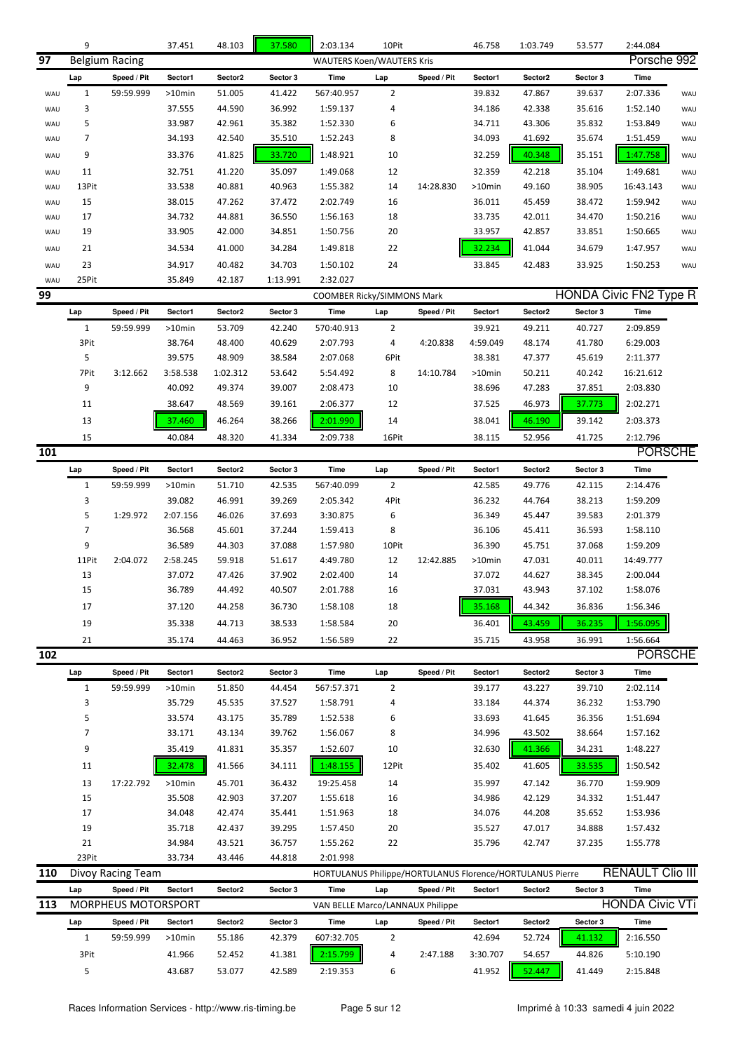|     | 9              |                            | 37.451           | 48.103           | 37.580           | 2:03.134                                                  | 10Pit          |             | 46.758   | 1:03.749 | 53.577   | 2:44.084                      |     |
|-----|----------------|----------------------------|------------------|------------------|------------------|-----------------------------------------------------------|----------------|-------------|----------|----------|----------|-------------------------------|-----|
| 97  |                | <b>Belgium Racing</b>      |                  |                  |                  | <b>WAUTERS Koen/WAUTERS Kris</b>                          |                |             |          |          |          | Porsche 992                   |     |
|     | Lap            | Speed / Pit                | Sector1          | Sector2          | Sector 3         | <b>Time</b>                                               | Lap            | Speed / Pit | Sector1  | Sector2  | Sector 3 | Time                          |     |
| WAU | $\mathbf{1}$   | 59:59.999                  | $>10$ min        | 51.005           | 41.422           | 567:40.957                                                | $\overline{2}$ |             | 39.832   | 47.867   | 39.637   | 2:07.336                      | WAU |
| WAU | 3              |                            | 37.555           | 44.590           | 36.992           | 1:59.137                                                  | 4              |             | 34.186   | 42.338   | 35.616   | 1:52.140                      | WAU |
| WAU | 5              |                            | 33.987           | 42.961           | 35.382           | 1:52.330                                                  | 6              |             | 34.711   | 43.306   | 35.832   | 1:53.849                      | WAU |
| WAU | $\overline{7}$ |                            | 34.193           | 42.540           | 35.510           | 1:52.243                                                  | 8              |             | 34.093   | 41.692   | 35.674   | 1:51.459                      | WAU |
|     |                |                            |                  |                  |                  |                                                           |                |             |          |          |          |                               |     |
| WAU | 9              |                            | 33.376           | 41.825           | 33.720           | 1:48.921                                                  | 10             |             | 32.259   | 40.348   | 35.151   | 1:47.758                      | WAU |
| WAU | 11             |                            | 32.751           | 41.220           | 35.097           | 1:49.068                                                  | 12             |             | 32.359   | 42.218   | 35.104   | 1:49.681                      | WAU |
| WAU | 13Pit          |                            | 33.538           | 40.881           | 40.963           | 1:55.382                                                  | 14             | 14:28.830   | >10min   | 49.160   | 38.905   | 16:43.143                     | WAU |
| WAU | 15             |                            | 38.015           | 47.262           | 37.472           | 2:02.749                                                  | 16             |             | 36.011   | 45.459   | 38.472   | 1:59.942                      | WAU |
| WAU | 17             |                            | 34.732           | 44.881           | 36.550           | 1:56.163                                                  | 18             |             | 33.735   | 42.011   | 34.470   | 1:50.216                      | WAU |
| WAU | 19             |                            | 33.905           | 42.000           | 34.851           | 1:50.756                                                  | 20             |             | 33.957   | 42.857   | 33.851   | 1:50.665                      | WAU |
| WAU | 21             |                            | 34.534           | 41.000           | 34.284           | 1:49.818                                                  | 22             |             | 32.234   | 41.044   | 34.679   | 1:47.957                      | WAU |
| WAU | 23             |                            | 34.917           | 40.482           | 34.703           | 1:50.102                                                  | 24             |             | 33.845   | 42.483   | 33.925   | 1:50.253                      | WAU |
| WAU | 25Pit          |                            | 35.849           | 42.187           | 1:13.991         | 2:32.027                                                  |                |             |          |          |          |                               |     |
| 99  |                |                            |                  |                  |                  | COOMBER Ricky/SIMMONS Mark                                |                |             |          |          |          | <b>HONDA Civic FN2 Type R</b> |     |
|     | Lap            | Speed / Pit                | Sector1          | Sector2          | Sector 3         | <b>Time</b>                                               | Lap            | Speed / Pit | Sector1  | Sector2  | Sector 3 | Time                          |     |
|     | $\mathbf{1}$   | 59:59.999                  | >10min           | 53.709           | 42.240           | 570:40.913                                                | 2              |             | 39.921   | 49.211   | 40.727   | 2:09.859                      |     |
|     | 3Pit           |                            | 38.764           | 48.400           | 40.629           | 2:07.793                                                  | 4              | 4:20.838    | 4:59.049 | 48.174   | 41.780   | 6:29.003                      |     |
|     | 5              |                            | 39.575           | 48.909           | 38.584           | 2:07.068                                                  | 6Pit           |             | 38.381   | 47.377   | 45.619   | 2:11.377                      |     |
|     | 7Pit           | 3:12.662                   | 3:58.538         | 1:02.312         | 53.642           | 5:54.492                                                  | 8              | 14:10.784   | >10min   | 50.211   | 40.242   | 16:21.612                     |     |
|     | 9              |                            | 40.092           | 49.374           | 39.007           | 2:08.473                                                  | 10             |             | 38.696   | 47.283   | 37.851   | 2:03.830                      |     |
|     | 11             |                            | 38.647           | 48.569           | 39.161           | 2:06.377                                                  | 12             |             | 37.525   | 46.973   | 37.773   | 2:02.271                      |     |
|     | 13             |                            | 37.460           | 46.264           | 38.266           | 2:01.990                                                  | 14             |             | 38.041   | 46.190   | 39.142   | 2:03.373                      |     |
|     | 15             |                            | 40.084           | 48.320           | 41.334           | 2:09.738                                                  | 16Pit          |             | 38.115   | 52.956   | 41.725   | 2:12.796                      |     |
| 101 |                |                            |                  |                  |                  |                                                           |                |             |          |          |          | <b>PORSCHE</b>                |     |
|     | Lap            | Speed / Pit                | Sector1          | Sector2          | Sector 3         | Time                                                      | Lap            | Speed / Pit | Sector1  | Sector2  | Sector 3 | Time                          |     |
|     | $\mathbf{1}$   | 59:59.999                  | >10min           | 51.710           | 42.535           | 567:40.099                                                | $\overline{2}$ |             | 42.585   | 49.776   | 42.115   | 2:14.476                      |     |
|     | 3              |                            | 39.082           | 46.991           | 39.269           | 2:05.342                                                  | 4Pit           |             | 36.232   | 44.764   | 38.213   | 1:59.209                      |     |
|     | 5              | 1:29.972                   | 2:07.156         | 46.026           | 37.693           | 3:30.875                                                  | 6              |             | 36.349   | 45.447   | 39.583   | 2:01.379                      |     |
|     | 7              |                            | 36.568           | 45.601           | 37.244           | 1:59.413                                                  | 8              |             | 36.106   | 45.411   | 36.593   | 1:58.110                      |     |
|     | 9              |                            | 36.589           | 44.303           | 37.088           | 1:57.980                                                  | 10Pit          |             | 36.390   | 45.751   | 37.068   | 1:59.209                      |     |
|     | 11Pit          | 2:04.072                   | 2:58.245         | 59.918           | 51.617           | 4:49.780                                                  | 12             | 12:42.885   | >10min   | 47.031   | 40.011   | 14:49.777                     |     |
|     | 13             |                            | 37.072           | 47.426           | 37.902           | 2:02.400                                                  | 14             |             | 37.072   | 44.627   | 38.345   | 2:00.044                      |     |
|     | 15             |                            | 36.789           | 44.492           | 40.507           | 2:01.788                                                  | 16             |             | 37.031   | 43.943   | 37.102   | 1:58.076                      |     |
|     |                |                            |                  |                  |                  |                                                           |                |             |          |          |          |                               |     |
|     | 17             |                            | 37.120           | 44.258           | 36.730           | 1:58.108                                                  | 18             |             | 35.168   | 44.342   | 36.836   | 1:56.346                      |     |
|     | 19             |                            | 35.338           | 44.713           | 38.533           | 1:58.584                                                  | 20             |             | 36.401   | 43.459   | 36.235   | 1:56.095                      |     |
|     | 21             |                            | 35.174           | 44.463           | 36.952           | 1:56.589                                                  | 22             |             | 35.715   | 43.958   | 36.991   | 1:56.664                      |     |
| 102 |                |                            |                  |                  |                  |                                                           |                |             |          |          |          | <b>PORSCHE</b>                |     |
|     | Lap            | Speed / Pit                | Sector1          | Sector2          | Sector 3         | Time                                                      | Lap            | Speed / Pit | Sector1  | Sector2  | Sector 3 | Time                          |     |
|     | $\mathbf{1}$   | 59:59.999                  | >10min           | 51.850           | 44.454           | 567:57.371                                                | 2              |             | 39.177   | 43.227   | 39.710   | 2:02.114                      |     |
|     | 3              |                            | 35.729           | 45.535           | 37.527           | 1:58.791                                                  | 4              |             | 33.184   | 44.374   | 36.232   | 1:53.790                      |     |
|     | 5              |                            | 33.574           | 43.175           | 35.789           | 1:52.538                                                  | 6              |             | 33.693   | 41.645   | 36.356   | 1:51.694                      |     |
|     | 7              |                            | 33.171           | 43.134           | 39.762           | 1:56.067                                                  | 8              |             | 34.996   | 43.502   | 38.664   | 1:57.162                      |     |
|     | 9              |                            | 35.419           | 41.831           | 35.357           | 1:52.607                                                  | 10             |             | 32.630   | 41.366   | 34.231   | 1:48.227                      |     |
|     | 11             |                            | 32.478           | 41.566           | 34.111           | 1:48.155                                                  | 12Pit          |             | 35.402   | 41.605   | 33.535   | 1:50.542                      |     |
|     | 13             | 17:22.792                  | >10min           | 45.701           | 36.432           | 19:25.458                                                 | 14             |             | 35.997   | 47.142   | 36.770   | 1:59.909                      |     |
|     | 15             |                            | 35.508           | 42.903           | 37.207           | 1:55.618                                                  | 16             |             | 34.986   | 42.129   | 34.332   | 1:51.447                      |     |
|     | 17             |                            | 34.048           | 42.474           | 35.441           | 1:51.963                                                  | 18             |             | 34.076   | 44.208   | 35.652   | 1:53.936                      |     |
|     | 19             |                            | 35.718           |                  |                  |                                                           |                |             |          |          |          |                               |     |
|     |                |                            |                  | 42.437           | 39.295           | 1:57.450                                                  | 20             |             | 35.527   | 47.017   | 34.888   | 1:57.432                      |     |
|     | 21<br>23Pit    |                            | 34.984<br>33.734 | 43.521<br>43.446 | 36.757<br>44.818 | 1:55.262<br>2:01.998                                      | 22             |             | 35.796   | 42.747   | 37.235   | 1:55.778                      |     |
| 110 |                | Divoy Racing Team          |                  |                  |                  | HORTULANUS Philippe/HORTULANUS Florence/HORTULANUS Pierre |                |             |          |          |          | <b>RENAULT Clio III</b>       |     |
|     |                |                            |                  |                  |                  |                                                           |                |             |          |          |          |                               |     |
|     | Lap            | Speed / Pit                | Sector1          | Sector2          | Sector 3         | Time                                                      | Lap            | Speed / Pit | Sector1  | Sector2  | Sector 3 | <b>Time</b>                   |     |
| 113 |                | <b>MORPHEUS MOTORSPORT</b> |                  |                  |                  | VAN BELLE Marco/LANNAUX Philippe                          |                |             |          |          |          | <b>HONDA Civic VTi</b>        |     |
|     | Lap            | Speed / Pit                | Sector1          | Sector2          | Sector 3         | Time                                                      | Lap            | Speed / Pit | Sector1  | Sector2  | Sector 3 | <b>Time</b>                   |     |
|     | $\mathbf{1}$   | 59:59.999                  | >10min           | 55.186           | 42.379           | 607:32.705                                                | 2              |             | 42.694   | 52.724   | 41.132   | 2:16.550                      |     |
|     | 3Pit           |                            | 41.966           | 52.452           | 41.381           | 2:15.799                                                  | 4              | 2:47.188    | 3:30.707 | 54.657   | 44.826   | 5:10.190                      |     |
|     | 5              |                            | 43.687           | 53.077           | 42.589           | 2:19.353                                                  | 6              |             | 41.952   | 52.447   | 41.449   | 2:15.848                      |     |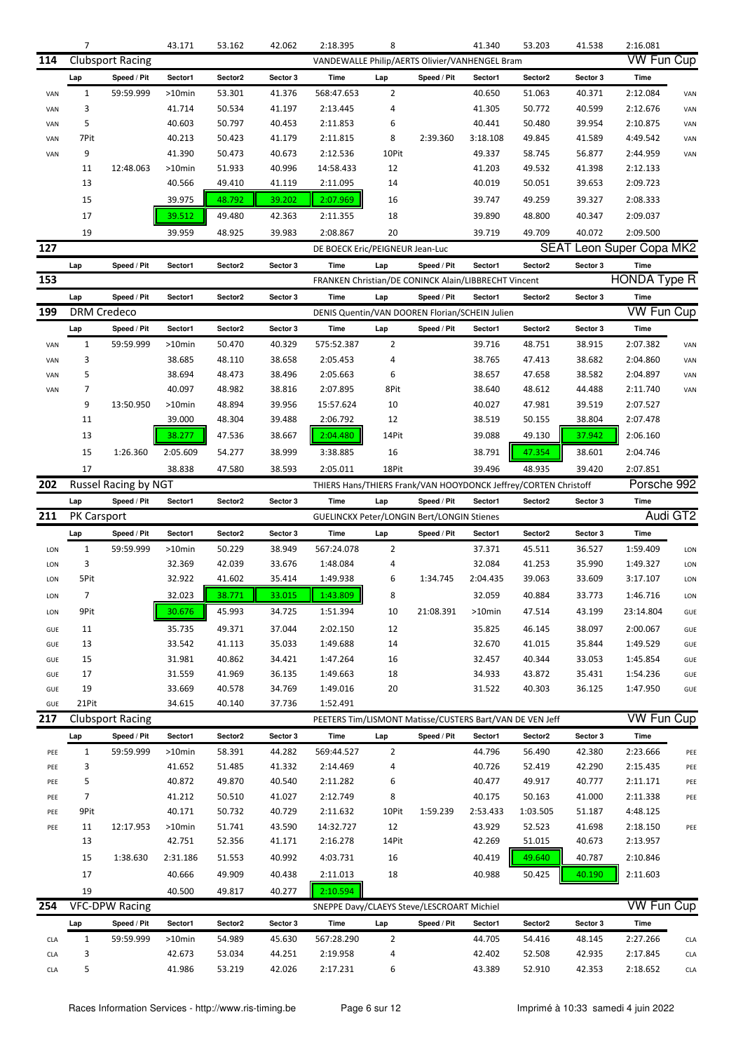|            | $\overline{7}$     |                         | 43.171           | 53.162           | 42.062           | 2:18.395                                                 | 8              |             | 41.340           | 53.203                                                          | 41.538           | 2:16.081             |            |
|------------|--------------------|-------------------------|------------------|------------------|------------------|----------------------------------------------------------|----------------|-------------|------------------|-----------------------------------------------------------------|------------------|----------------------|------------|
| 114        |                    | <b>Clubsport Racing</b> |                  |                  |                  | VANDEWALLE Philip/AERTS Olivier/VANHENGEL Bram           |                |             |                  |                                                                 |                  | <b>VW Fun Cup</b>    |            |
|            | Lap                | Speed / Pit             | Sector1          | Sector2          | Sector 3         | Time                                                     | Lap            | Speed / Pit | Sector1          | Sector2                                                         | Sector 3         | <b>Time</b>          |            |
| VAN        | $\mathbf{1}$       | 59:59.999               | >10min           | 53.301           | 41.376           | 568:47.653                                               | $\overline{2}$ |             | 40.650           | 51.063                                                          | 40.371           | 2:12.084             | VAN        |
| VAN        | 3                  |                         | 41.714           | 50.534           | 41.197           | 2:13.445                                                 | 4              |             | 41.305           | 50.772                                                          | 40.599           | 2:12.676             | VAN        |
| VAN        | 5                  |                         | 40.603           | 50.797           | 40.453           | 2:11.853                                                 | 6              |             | 40.441           | 50.480                                                          | 39.954           | 2:10.875             | VAN        |
| VAN        | 7Pit               |                         | 40.213           | 50.423           | 41.179           | 2:11.815                                                 | 8              | 2:39.360    | 3:18.108         | 49.845                                                          | 41.589           | 4:49.542             | VAN        |
| VAN        | 9                  |                         | 41.390           | 50.473           | 40.673           | 2:12.536                                                 | 10Pit          |             | 49.337           | 58.745                                                          | 56.877           | 2:44.959             | VAN        |
|            | 11                 | 12:48.063               | >10min           | 51.933           | 40.996           | 14:58.433                                                | 12             |             | 41.203           | 49.532                                                          | 41.398           | 2:12.133             |            |
|            | 13                 |                         | 40.566           | 49.410           | 41.119           | 2:11.095                                                 | 14             |             | 40.019           | 50.051                                                          | 39.653           | 2:09.723             |            |
|            | 15                 |                         | 39.975           | 48.792           | 39.202           | 2:07.969                                                 | 16             |             | 39.747           | 49.259                                                          | 39.327           | 2:08.333             |            |
|            | 17                 |                         | 39.512           | 49.480           | 42.363           | 2:11.355                                                 | 18             |             | 39.890           | 48.800                                                          | 40.347           | 2:09.037             |            |
|            | 19                 |                         | 39.959           | 48.925           | 39.983           | 2:08.867                                                 | 20             |             | 39.719           | 49.709                                                          | 40.072           | 2:09.500             |            |
| 127        |                    |                         |                  |                  |                  | DE BOECK Eric/PEIGNEUR Jean-Luc                          |                |             |                  | <b>SEAT</b>                                                     |                  | Leon Super Copa MK2  |            |
|            |                    |                         |                  |                  |                  |                                                          |                |             |                  |                                                                 |                  |                      |            |
|            | Lap                | Speed / Pit             | Sector1          | Sector2          | Sector 3         | Time                                                     | Lap            | Speed / Pit | Sector1          | Sector2                                                         | Sector 3         | <b>Time</b>          |            |
| 153        |                    |                         |                  |                  |                  | FRANKEN Christian/DE CONINCK Alain/LIBBRECHT Vincent     |                |             |                  |                                                                 |                  | <b>HONDA Type R</b>  |            |
|            | Lap                | Speed / Pit             | Sector1          | Sector2          | Sector 3         | Time                                                     | Lap            | Speed / Pit | Sector1          | Sector2                                                         | Sector 3         | Time                 |            |
| 199        | <b>DRM Credeco</b> |                         |                  |                  |                  | DENIS Quentin/VAN DOOREN Florian/SCHEIN Julien           |                |             |                  |                                                                 |                  | <b>VW Fun Cup</b>    |            |
|            | Lap                | Speed / Pit             | Sector1          | Sector2          | Sector 3         | Time                                                     | Lap            | Speed / Pit | Sector1          | Sector2                                                         | Sector 3         | <b>Time</b>          |            |
| VAN        | $\mathbf{1}$       | 59:59.999               | >10min           | 50.470           | 40.329           | 575:52.387                                               | $\overline{2}$ |             | 39.716           | 48.751                                                          | 38.915           | 2:07.382             | VAN        |
| VAN        | 3                  |                         | 38.685           | 48.110           | 38.658           | 2:05.453                                                 | 4              |             | 38.765           | 47.413                                                          | 38.682           | 2:04.860             | VAN        |
| VAN        | 5                  |                         | 38.694           | 48.473           | 38.496           | 2:05.663                                                 | 6              |             | 38.657           | 47.658                                                          | 38.582           | 2:04.897             | VAN        |
| VAN        | 7                  |                         | 40.097           | 48.982           | 38.816           | 2:07.895                                                 | 8Pit           |             | 38.640           | 48.612                                                          | 44.488           | 2:11.740             | VAN        |
|            | 9                  | 13:50.950               | >10min           | 48.894           | 39.956           | 15:57.624                                                | 10             |             | 40.027           | 47.981                                                          | 39.519           | 2:07.527             |            |
|            | 11                 |                         | 39.000           | 48.304           | 39.488           | 2:06.792                                                 | 12             |             | 38.519           | 50.155                                                          | 38.804           | 2:07.478             |            |
|            | 13                 |                         | 38.277           | 47.536           | 38.667           | 2:04.480                                                 | 14Pit          |             | 39.088           | 49.130                                                          | 37.942           | 2:06.160             |            |
|            | 15                 | 1:26.360                | 2:05.609         | 54.277           | 38.999           | 3:38.885                                                 | 16             |             | 38.791           | 47.354                                                          | 38.601           | 2:04.746             |            |
|            | 17                 |                         | 38.838           | 47.580           | 38.593           | 2:05.011                                                 | 18Pit          |             | 39.496           | 48.935                                                          | 39.420           | 2:07.851             |            |
| 202        |                    | Russel Racing by NGT    |                  |                  |                  |                                                          |                |             |                  | THIERS Hans/THIERS Frank/VAN HOOYDONCK Jeffrey/CORTEN Christoff |                  | Porsche 992          |            |
|            | Lap                | Speed / Pit             | Sector1          | Sector2          | Sector 3         | Time                                                     | Lap            | Speed / Pit | Sector1          | Sector2                                                         | Sector 3         | <b>Time</b>          |            |
|            |                    |                         |                  |                  |                  |                                                          |                |             |                  |                                                                 |                  |                      |            |
|            |                    |                         |                  |                  |                  |                                                          |                |             |                  |                                                                 |                  |                      |            |
| 211        | PK Carsport        |                         |                  |                  |                  | <b>GUELINCKX Peter/LONGIN Bert/LONGIN Stienes</b>        |                |             |                  |                                                                 |                  |                      | Audi GT2   |
|            | Lap                | Speed / Pit             | Sector1          | Sector2          | Sector 3         | Time                                                     | Lap            | Speed / Pit | Sector1          | Sector2                                                         | Sector 3         | Time                 |            |
| LON        | $\mathbf{1}$       | 59:59.999               | >10min           | 50.229           | 38.949           | 567:24.078                                               | $\overline{2}$ |             | 37.371           | 45.511                                                          | 36.527           | 1:59.409             | LON        |
| LON        | 3                  |                         | 32.369           | 42.039           | 33.676           | 1:48.084                                                 | 4              |             | 32.084           | 41.253                                                          | 35.990           | 1:49.327             | LON        |
| LON        | 5Pit               |                         | 32.922           | 41.602           | 35.414           | 1:49.938                                                 | 6              | 1:34.745    | 2:04.435         | 39.063                                                          | 33.609           | 3:17.107             | LON        |
| LON        | $\overline{7}$     |                         | 32.023           | 38.771           | 33.015           | 1:43.809                                                 | 8              |             | 32.059           | 40.884                                                          | 33.773           | 1:46.716             | LON        |
| LON        | 9Pit               |                         | 30.676           | 45.993           | 34.725           | 1:51.394                                                 | 10             | 21:08.391   | >10min           | 47.514                                                          | 43.199           | 23:14.804            | GUE        |
| GUE        | 11                 |                         | 35.735           | 49.371           | 37.044           | 2:02.150                                                 | 12             |             | 35.825           | 46.145                                                          | 38.097           | 2:00.067             | GUE        |
| GUE        | 13                 |                         | 33.542           | 41.113           | 35.033           | 1:49.688                                                 | 14             |             | 32.670           | 41.015                                                          | 35.844           | 1:49.529             | GUE        |
| GUE        | 15                 |                         | 31.981           | 40.862           | 34.421           | 1:47.264                                                 | 16             |             | 32.457           | 40.344                                                          | 33.053           | 1:45.854             | GUE        |
| GUE        | 17                 |                         | 31.559           | 41.969           | 36.135           | 1:49.663                                                 | 18             |             | 34.933           | 43.872                                                          | 35.431           | 1:54.236             | GUE        |
| GUE        | 19                 |                         | 33.669           | 40.578           | 34.769           | 1:49.016                                                 | 20             |             | 31.522           | 40.303                                                          | 36.125           | 1:47.950             | GUE        |
| GUE        | 21Pit              |                         | 34.615           | 40.140           | 37.736           | 1:52.491                                                 |                |             |                  |                                                                 |                  |                      |            |
| 217        |                    | <b>Clubsport Racing</b> |                  |                  |                  | PEETERS Tim/LISMONT Matisse/CUSTERS Bart/VAN DE VEN Jeff |                |             |                  |                                                                 |                  | <b>VW Fun Cup</b>    |            |
|            | Lap                | Speed / Pit             | Sector1          | Sector2          | Sector 3         | Time                                                     | Lap            | Speed / Pit | Sector1          | Sector2                                                         | Sector 3         | Time                 |            |
| PEE        | $\mathbf{1}$       | 59:59.999               | >10min           | 58.391           | 44.282           | 569:44.527                                               | $\overline{2}$ |             | 44.796           | 56.490                                                          | 42.380           | 2:23.666             | PEE        |
| PEE        | 3                  |                         | 41.652           | 51.485           | 41.332           | 2:14.469                                                 | 4              |             | 40.726           | 52.419                                                          | 42.290           | 2:15.435             | PEE        |
| PEE        | 5                  |                         | 40.872           | 49.870           | 40.540           | 2:11.282                                                 | 6              |             | 40.477           | 49.917                                                          | 40.777           | 2:11.171             | PEE        |
| PEE        | $\overline{7}$     |                         | 41.212           | 50.510           | 41.027           | 2:12.749                                                 | 8              |             | 40.175           | 50.163                                                          | 41.000           | 2:11.338             | PEE        |
| PEE        | 9Pit               |                         | 40.171           | 50.732           | 40.729           | 2:11.632                                                 | 10Pit          | 1:59.239    | 2:53.433         | 1:03.505                                                        | 51.187           | 4:48.125             |            |
| PEE        | 11                 | 12:17.953               | >10min           | 51.741           | 43.590           | 14:32.727                                                | 12             |             | 43.929           | 52.523                                                          | 41.698           | 2:18.150             | PEE        |
|            | 13                 |                         | 42.751           | 52.356           | 41.171           | 2:16.278                                                 | 14Pit          |             | 42.269           | 51.015                                                          | 40.673           | 2:13.957             |            |
|            | 15                 | 1:38.630                | 2:31.186         | 51.553           | 40.992           | 4:03.731                                                 | 16             |             | 40.419           | 49.640                                                          | 40.787           | 2:10.846             |            |
|            |                    |                         |                  |                  |                  |                                                          |                |             |                  |                                                                 |                  |                      |            |
|            | 17                 |                         | 40.666           | 49.909           | 40.438           | 2:11.013                                                 | 18             |             | 40.988           | 50.425                                                          | 40.190           | 2:11.603             |            |
|            | 19                 |                         | 40.500           | 49.817           | 40.277           | 2:10.594                                                 |                |             |                  |                                                                 |                  |                      |            |
| 254        |                    | <b>VFC-DPW Racing</b>   |                  |                  |                  | SNEPPE Davy/CLAEYS Steve/LESCROART Michiel               |                |             |                  |                                                                 |                  | <b>VW Fun Cup</b>    |            |
|            | Lap                | Speed / Pit             | Sector1          | Sector2          | Sector 3         | Time                                                     | Lap            | Speed / Pit | Sector1          | Sector2                                                         | Sector 3         | Time                 |            |
| CLA        | $\mathbf{1}$       | 59:59.999               | >10min           | 54.989           | 45.630           | 567:28.290                                               | $\overline{2}$ |             | 44.705           | 54.416                                                          | 48.145           | 2:27.266             | <b>CLA</b> |
| CLA<br>CLA | 3<br>5             |                         | 42.673<br>41.986 | 53.034<br>53.219 | 44.251<br>42.026 | 2:19.958<br>2:17.231                                     | 4<br>6         |             | 42.402<br>43.389 | 52.508<br>52.910                                                | 42.935<br>42.353 | 2:17.845<br>2:18.652 | CLA<br>CLA |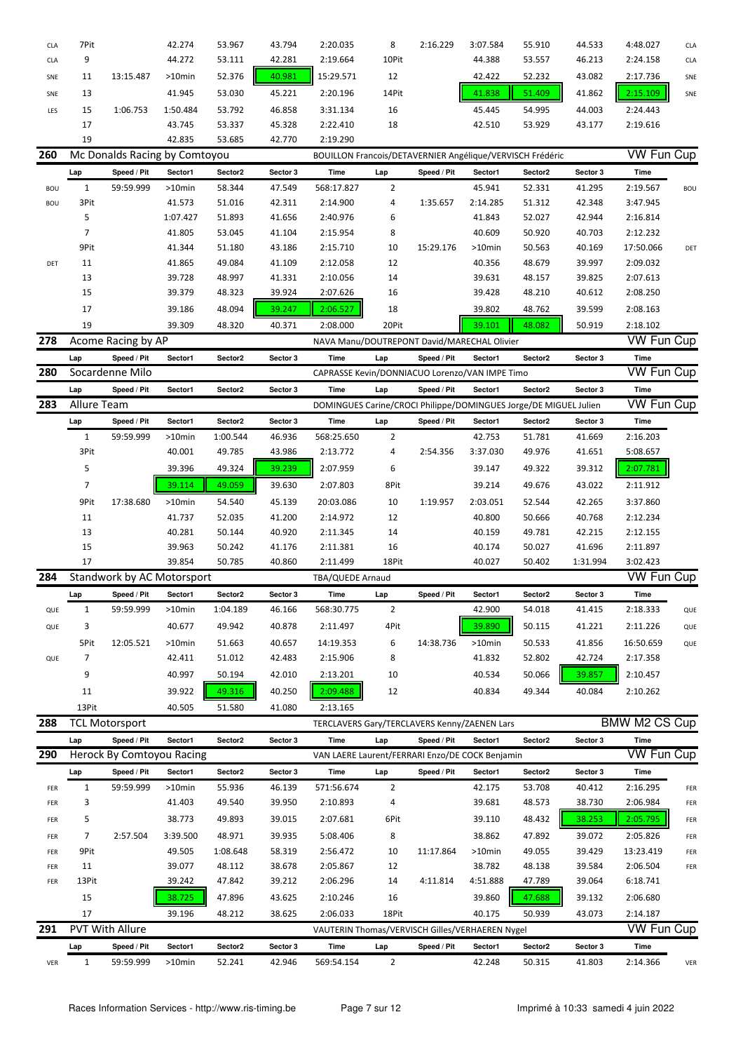| <b>CLA</b> | 7Pit         |                           | 42.274                        | 53.967           | 43.794   | 2:20.035                                        | 8              | 2:16.229    | 3:07.584 | 55.910                                                           | 44.533   | 4:48.027             | <b>CLA</b> |
|------------|--------------|---------------------------|-------------------------------|------------------|----------|-------------------------------------------------|----------------|-------------|----------|------------------------------------------------------------------|----------|----------------------|------------|
| <b>CLA</b> | 9            |                           | 44.272                        | 53.111           | 42.281   | 2:19.664                                        | 10Pit          |             | 44.388   | 53.557                                                           | 46.213   | 2:24.158             | <b>CLA</b> |
|            |              |                           |                               |                  |          |                                                 |                |             |          |                                                                  |          |                      |            |
| SNE        | 11           | 13:15.487                 | >10min                        | 52.376           | 40.981   | 15:29.571                                       | 12             |             | 42.422   | 52.232                                                           | 43.082   | 2:17.736             | SNE        |
| SNE        | 13           |                           | 41.945                        | 53.030           | 45.221   | 2:20.196                                        | 14Pit          |             | 41.838   | 51.409                                                           | 41.862   | 2:15.109             | SNE        |
| LES        | 15           | 1:06.753                  | 1:50.484                      | 53.792           | 46.858   | 3:31.134                                        | 16             |             | 45.445   | 54.995                                                           | 44.003   | 2:24.443             |            |
|            | 17           |                           | 43.745                        | 53.337           | 45.328   | 2:22.410                                        | 18             |             | 42.510   | 53.929                                                           | 43.177   | 2:19.616             |            |
|            | 19           |                           | 42.835                        | 53.685           | 42.770   | 2:19.290                                        |                |             |          |                                                                  |          |                      |            |
| 260        |              |                           | Mc Donalds Racing by Comtoyou |                  |          |                                                 |                |             |          | BOUILLON Francois/DETAVERNIER Angélique/VERVISCH Frédéric        |          | <b>VW Fun Cup</b>    |            |
|            | Lap          | Speed / Pit               | Sector1                       | Sector2          | Sector 3 | Time                                            | Lap            | Speed / Pit | Sector1  | Sector2                                                          | Sector 3 | Time                 |            |
| BOU        | $\mathbf{1}$ | 59:59.999                 | >10min                        | 58.344           | 47.549   | 568:17.827                                      | 2              |             | 45.941   | 52.331                                                           | 41.295   | 2:19.567             | <b>BOU</b> |
| <b>BOU</b> | 3Pit         |                           | 41.573                        | 51.016           | 42.311   | 2:14.900                                        | 4              | 1:35.657    | 2:14.285 | 51.312                                                           | 42.348   | 3:47.945             |            |
|            |              |                           |                               |                  |          |                                                 |                |             |          |                                                                  |          |                      |            |
|            | 5            |                           | 1:07.427                      | 51.893           | 41.656   | 2:40.976                                        | 6              |             | 41.843   | 52.027                                                           | 42.944   | 2:16.814             |            |
|            | 7            |                           | 41.805                        | 53.045           | 41.104   | 2:15.954                                        | 8              |             | 40.609   | 50.920                                                           | 40.703   | 2:12.232             |            |
|            | 9Pit         |                           | 41.344                        | 51.180           | 43.186   | 2:15.710                                        | 10             | 15:29.176   | >10min   | 50.563                                                           | 40.169   | 17:50.066            | DET        |
| DET        | 11           |                           | 41.865                        | 49.084           | 41.109   | 2:12.058                                        | 12             |             | 40.356   | 48.679                                                           | 39.997   | 2:09.032             |            |
|            | 13           |                           | 39.728                        | 48.997           | 41.331   | 2:10.056                                        | 14             |             | 39.631   | 48.157                                                           | 39.825   | 2:07.613             |            |
|            | 15           |                           | 39.379                        | 48.323           | 39.924   | 2:07.626                                        | 16             |             | 39.428   | 48.210                                                           | 40.612   | 2:08.250             |            |
|            | 17           |                           | 39.186                        | 48.094           | 39.247   | 2:06.527                                        | 18             |             | 39.802   | 48.762                                                           | 39.599   | 2:08.163             |            |
|            | 19           |                           | 39.309                        | 48.320           | 40.371   | 2:08.000                                        | 20Pit          |             | 39.101   | 48.082                                                           | 50.919   | 2:18.102             |            |
| 278        |              | Acome Racing by AP        |                               |                  |          | NAVA Manu/DOUTREPONT David/MARECHAL Olivier     |                |             |          |                                                                  |          | <b>VW Fun Cup</b>    |            |
|            | Lap          | Speed / Pit               | Sector1                       | Sector2          | Sector 3 | Time                                            | Lap            | Speed / Pit | Sector1  | Sector2                                                          | Sector 3 | Time                 |            |
| 280        |              | Socardenne Milo           |                               |                  |          | CAPRASSE Kevin/DONNIACUO Lorenzo/VAN IMPE Timo  |                |             |          |                                                                  |          | <b>VW Fun Cup</b>    |            |
|            |              |                           |                               |                  |          | Time                                            |                |             | Sector1  |                                                                  |          | Time                 |            |
|            | Lap          | Speed / Pit               | Sector1                       | Sector2          | Sector 3 |                                                 | Lap            | Speed / Pit |          | Sector2                                                          | Sector 3 | <b>VW Fun Cup</b>    |            |
| 283        | Allure Team  |                           |                               |                  |          |                                                 |                |             |          | DOMINGUES Carine/CROCI Philippe/DOMINGUES Jorge/DE MIGUEL Julien |          |                      |            |
|            | Lap          | Speed / Pit               | Sector1                       | Sector2          | Sector 3 | Time                                            | Lap            | Speed / Pit | Sector1  | Sector2                                                          | Sector 3 | Time                 |            |
|            | $\mathbf{1}$ | 59:59.999                 | $>10$ min                     | 1:00.544         | 46.936   | 568:25.650                                      | 2              |             | 42.753   | 51.781                                                           | 41.669   | 2:16.203             |            |
|            | 3Pit         |                           | 40.001                        | 49.785           | 43.986   | 2:13.772                                        | 4              | 2:54.356    | 3:37.030 | 49.976                                                           | 41.651   | 5:08.657             |            |
|            | 5            |                           | 39.396                        | 49.324           | 39.239   | 2:07.959                                        | 6              |             | 39.147   | 49.322                                                           | 39.312   | 2:07.781             |            |
|            | 7            |                           | 39.114                        | 49.059           | 39.630   | 2:07.803                                        | 8Pit           |             | 39.214   | 49.676                                                           | 43.022   | 2:11.912             |            |
|            | 9Pit         | 17:38.680                 | >10min                        | 54.540           | 45.139   | 20:03.086                                       | 10             | 1:19.957    | 2:03.051 | 52.544                                                           | 42.265   | 3:37.860             |            |
|            | 11           |                           | 41.737                        | 52.035           | 41.200   | 2:14.972                                        | 12             |             | 40.800   | 50.666                                                           | 40.768   | 2:12.234             |            |
|            | 13           |                           | 40.281                        | 50.144           | 40.920   | 2:11.345                                        | 14             |             | 40.159   | 49.781                                                           | 42.215   | 2:12.155             |            |
|            |              |                           |                               |                  |          |                                                 |                |             |          |                                                                  |          |                      |            |
|            | 15<br>17     |                           | 39.963                        | 50.242<br>50.785 | 41.176   | 2:11.381                                        | 16<br>18Pit    |             | 40.174   | 50.027                                                           | 41.696   | 2:11.897             |            |
|            |              |                           | 39.854                        |                  | 40.860   | 2:11.499                                        |                |             | 40.027   | 50.402                                                           | 1:31.994 | 3:02.423             |            |
| 284        |              |                           | Standwork by AC Motorsport    |                  |          | TBA/QUEDE Arnaud                                |                |             |          |                                                                  |          | VW Fun Cup           |            |
|            | Lap          | Speed / Pit               | Sector1                       | Sector2          | Sector 3 | Time                                            | Lap            | Speed / Pit | Sector1  | Sector2                                                          | Sector 3 | Time                 |            |
| QUE        | $\mathbf{1}$ | 59:59.999                 | $>10$ min                     | 1:04.189         | 46.166   | 568:30.775                                      | $\overline{2}$ |             | 42.900   | 54.018                                                           | 41.415   | 2:18.333             | QUE        |
| QUE        | 3            |                           | 40.677                        | 49.942           | 40.878   | 2:11.497                                        | 4Pit           |             | 39.890   | 50.115                                                           | 41.221   | 2:11.226             | QUE        |
|            | 5Pit         | 12:05.521                 | >10min                        | 51.663           | 40.657   | 14:19.353                                       | 6              | 14:38.736   | >10min   | 50.533                                                           | 41.856   | 16:50.659            | QUE        |
| QUE        | 7            |                           | 42.411                        | 51.012           | 42.483   | 2:15.906                                        | 8              |             | 41.832   | 52.802                                                           | 42.724   | 2:17.358             |            |
|            | 9            |                           | 40.997                        | 50.194           | 42.010   | 2:13.201                                        | 10             |             | 40.534   | 50.066                                                           | 39.857   | 2:10.457             |            |
|            | 11           |                           | 39.922                        | 49.316           |          | 2:09.488                                        |                |             | 40.834   | 49.344                                                           | 40.084   |                      |            |
|            |              |                           |                               |                  | 40.250   |                                                 | 12             |             |          |                                                                  |          | 2:10.262             |            |
|            | 13Pit        |                           | 40.505                        | 51.580           | 41.080   | 2:13.165                                        |                |             |          |                                                                  |          |                      |            |
| 288        |              | <b>TCL Motorsport</b>     |                               |                  |          | TERCLAVERS Gary/TERCLAVERS Kenny/ZAENEN Lars    |                |             |          |                                                                  |          | <b>BMW M2 CS Cup</b> |            |
|            | Lap          | Speed / Pit               | Sector1                       | Sector2          | Sector 3 | Time                                            | Lap            | Speed / Pit | Sector1  | Sector2                                                          | Sector 3 | Time                 |            |
| 290        |              | Herock By Comtoyou Racing |                               |                  |          | VAN LAERE Laurent/FERRARI Enzo/DE COCK Benjamin |                |             |          |                                                                  |          | <b>VW Fun Cup</b>    |            |
|            | Lap          | Speed / Pit               | Sector1                       | Sector2          | Sector 3 | Time                                            | Lap            | Speed / Pit | Sector1  | Sector2                                                          | Sector 3 | Time                 |            |
| FER        | $\mathbf{1}$ | 59:59.999                 | >10min                        | 55.936           | 46.139   | 571:56.674                                      | $\overline{2}$ |             | 42.175   | 53.708                                                           | 40.412   | 2:16.295             | FER        |
| FER        | 3            |                           | 41.403                        | 49.540           | 39.950   | 2:10.893                                        | 4              |             | 39.681   | 48.573                                                           | 38.730   | 2:06.984             | FER        |
| FER        | 5            |                           | 38.773                        | 49.893           | 39.015   | 2:07.681                                        | 6Pit           |             | 39.110   | 48.432                                                           | 38.253   | 2:05.795             | FER        |
|            | 7            | 2:57.504                  | 3:39.500                      | 48.971           | 39.935   | 5:08.406                                        | 8              |             | 38.862   | 47.892                                                           | 39.072   | 2:05.826             |            |
| FER        |              |                           |                               |                  |          |                                                 |                |             |          |                                                                  |          |                      | FER        |
| FER        | 9Pit         |                           | 49.505                        | 1:08.648         | 58.319   | 2:56.472                                        | 10             | 11:17.864   | >10min   | 49.055                                                           | 39.429   | 13:23.419            | FER        |
| FER        | 11           |                           | 39.077                        | 48.112           | 38.678   | 2:05.867                                        | 12             |             | 38.782   | 48.138                                                           | 39.584   | 2:06.504             | FER        |
| FER        | 13Pit        |                           | 39.242                        | 47.842           | 39.212   | 2:06.296                                        | 14             | 4:11.814    | 4:51.888 | 47.789                                                           | 39.064   | 6:18.741             |            |
|            | 15           |                           | 38.725                        | 47.896           | 43.625   | 2:10.246                                        | 16             |             | 39.860   | 47.688                                                           | 39.132   | 2:06.680             |            |
|            | 17           |                           | 39.196                        | 48.212           | 38.625   | 2:06.033                                        | 18Pit          |             | 40.175   | 50.939                                                           | 43.073   | 2:14.187             |            |
| 291        |              | PVT With Allure           |                               |                  |          | VAUTERIN Thomas/VERVISCH Gilles/VERHAEREN Nygel |                |             |          |                                                                  |          | VW Fun Cup           |            |
|            | Lap          | Speed / Pit               | Sector1                       | Sector2          | Sector 3 | Time                                            |                | Speed / Pit |          |                                                                  |          |                      |            |
|            |              |                           |                               |                  |          |                                                 | Lap            |             | Sector1  | Sector2                                                          | Sector 3 | Time                 |            |
| VER        | $\mathbf{1}$ | 59:59.999                 | $>10$ min                     | 52.241           | 42.946   | 569:54.154                                      | $\overline{2}$ |             | 42.248   | 50.315                                                           | 41.803   | 2:14.366             | VER        |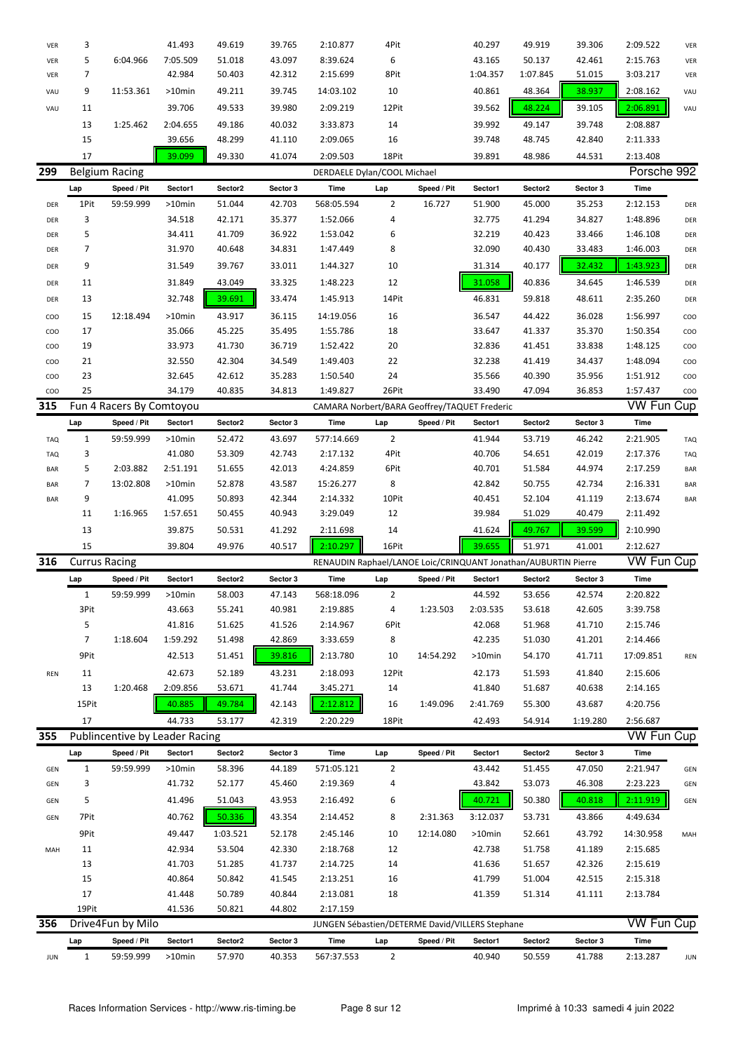| VER             | 3                    |                                | 41.493            | 49.619            | 39.765             | 2:10.877                                                       | 4Pit                  |             | 40.297            | 49.919            | 39.306             | 2:09.522                  | VER                      |
|-----------------|----------------------|--------------------------------|-------------------|-------------------|--------------------|----------------------------------------------------------------|-----------------------|-------------|-------------------|-------------------|--------------------|---------------------------|--------------------------|
| VER             | 5                    | 6:04.966                       | 7:05.509          | 51.018            | 43.097             | 8:39.624                                                       | 6                     |             | 43.165            | 50.137            | 42.461             | 2:15.763                  | VER                      |
| VER             | 7                    |                                | 42.984            | 50.403            | 42.312             | 2:15.699                                                       | 8Pit                  |             | 1:04.357          | 1:07.845          | 51.015             | 3:03.217                  | VER                      |
| VAU             | 9                    | 11:53.361                      | >10min            | 49.211            | 39.745             | 14:03.102                                                      | 10                    |             | 40.861            | 48.364            | 38.937             | 2:08.162                  | VAU                      |
| VAU             | 11                   |                                | 39.706            | 49.533            | 39.980             | 2:09.219                                                       | 12Pit                 |             | 39.562            | 48.224            | 39.105             | 2:06.891                  | VAU                      |
|                 | 13                   | 1:25.462                       | 2:04.655          | 49.186            | 40.032             | 3:33.873                                                       | 14                    |             | 39.992            | 49.147            | 39.748             | 2:08.887                  |                          |
|                 | 15                   |                                | 39.656            | 48.299            | 41.110             | 2:09.065                                                       | 16                    |             | 39.748            | 48.745            | 42.840             | 2:11.333                  |                          |
|                 | 17                   |                                |                   |                   |                    |                                                                |                       |             |                   |                   |                    |                           |                          |
| 299             |                      | <b>Belgium Racing</b>          | 39.099            | 49.330            | 41.074             | 2:09.503                                                       | 18Pit                 |             | 39.891            | 48.986            | 44.531             | 2:13.408<br>Porsche 992   |                          |
|                 |                      |                                |                   |                   |                    | DERDAELE Dylan/COOL Michael                                    |                       |             |                   |                   |                    |                           |                          |
|                 | Lap                  | Speed / Pit                    | Sector1           | Sector2           | Sector 3           | Time                                                           | Lap                   | Speed / Pit | Sector1           | Sector2           | Sector 3           | Time                      |                          |
| DER             | 1Pit                 | 59:59.999                      | >10min            | 51.044            | 42.703             | 568:05.594                                                     | $\overline{2}$        | 16.727      | 51.900            | 45.000            | 35.253             | 2:12.153                  | DER                      |
| DER             | 3                    |                                | 34.518            | 42.171            | 35.377             | 1:52.066                                                       | 4                     |             | 32.775            | 41.294            | 34.827             | 1:48.896                  | DER                      |
| DER             | 5                    |                                | 34.411            | 41.709            | 36.922             | 1:53.042                                                       | 6                     |             | 32.219            | 40.423            | 33.466             | 1:46.108                  | DER                      |
| DER             | 7                    |                                | 31.970            | 40.648            | 34.831             | 1:47.449                                                       | 8                     |             | 32.090            | 40.430            | 33.483             | 1:46.003                  | DER                      |
| DER             | 9                    |                                | 31.549            | 39.767            | 33.011             | 1:44.327                                                       | 10                    |             | 31.314            | 40.177            | 32.432             | 1:43.923                  | DER                      |
| DER             | 11                   |                                | 31.849            | 43.049            | 33.325             | 1:48.223                                                       | 12                    |             | 31.058            | 40.836            | 34.645             | 1:46.539                  | DER                      |
| DER             | 13                   |                                | 32.748            | 39.691            | 33.474             | 1:45.913                                                       | 14Pit                 |             | 46.831            | 59.818            | 48.611             | 2:35.260                  | DER                      |
| COO             | 15                   | 12:18.494                      | >10min            | 43.917            | 36.115             | 14:19.056                                                      | 16                    |             | 36.547            | 44.422            | 36.028             | 1:56.997                  | COO                      |
| CO <sub>O</sub> | 17                   |                                | 35.066            | 45.225            | 35.495             | 1:55.786                                                       | 18                    |             | 33.647            | 41.337            | 35.370             | 1:50.354                  | COO                      |
| COO             | 19                   |                                | 33.973            | 41.730            | 36.719             | 1:52.422                                                       | 20                    |             | 32.836            | 41.451            | 33.838             | 1:48.125                  | COO                      |
| COO             | 21                   |                                | 32.550            | 42.304            | 34.549             | 1:49.403                                                       | 22                    |             | 32.238            | 41.419            | 34.437             | 1:48.094                  | COO                      |
| COO             | 23                   |                                | 32.645            | 42.612            | 35.283             | 1:50.540                                                       | 24                    |             | 35.566            | 40.390            | 35.956             | 1:51.912                  | COO                      |
| COO             | 25                   |                                | 34.179            | 40.835            | 34.813             | 1:49.827                                                       | 26Pit                 |             | 33.490            | 47.094            | 36.853             | 1:57.437                  | COO                      |
| 315             |                      | Fun 4 Racers By Comtoyou       |                   |                   |                    | CAMARA Norbert/BARA Geoffrey/TAQUET Frederic                   |                       |             |                   |                   |                    | <b>VW Fun Cup</b>         |                          |
|                 | Lap                  | Speed / Pit                    | Sector1           | Sector2           | Sector 3           | Time                                                           | Lap                   | Speed / Pit | Sector1           | Sector2           | Sector 3           | Time                      |                          |
| <b>TAQ</b>      | $\mathbf{1}$         | 59:59.999                      | >10min            | 52.472            | 43.697             | 577:14.669                                                     | $\overline{2}$        |             | 41.944            | 53.719            | 46.242             | 2:21.905                  | <b>TAQ</b>               |
| <b>TAQ</b>      | 3                    |                                | 41.080            | 53.309            | 42.743             | 2:17.132                                                       | 4Pit                  |             | 40.706            | 54.651            | 42.019             | 2:17.376                  | <b>TAQ</b>               |
| <b>BAR</b>      | 5                    | 2:03.882                       | 2:51.191          | 51.655            | 42.013             | 4:24.859                                                       | 6Pit                  |             | 40.701            | 51.584            | 44.974             | 2:17.259                  | <b>BAR</b>               |
| <b>BAR</b>      | 7                    | 13:02.808                      | >10min            | 52.878            | 43.587             | 15:26.277                                                      | 8                     |             | 42.842            | 50.755            | 42.734             | 2:16.331                  |                          |
| <b>BAR</b>      | 9                    |                                | 41.095            | 50.893            | 42.344             | 2:14.332                                                       | 10Pit                 |             | 40.451            | 52.104            | 41.119             | 2:13.674                  | <b>BAR</b><br><b>BAR</b> |
|                 |                      |                                |                   |                   |                    |                                                                |                       |             |                   |                   |                    |                           |                          |
|                 |                      |                                |                   |                   |                    |                                                                |                       |             |                   |                   |                    |                           |                          |
|                 | 11                   | 1:16.965                       | 1:57.651          | 50.455            | 40.943             | 3:29.049                                                       | 12                    |             | 39.984            | 51.029            | 40.479             | 2:11.492                  |                          |
|                 | 13                   |                                | 39.875            | 50.531            | 41.292             | 2:11.698                                                       | 14                    |             | 41.624            | 49.767            | 39.599             | 2:10.990                  |                          |
|                 | 15                   |                                | 39.804            | 49.976            | 40.517             | 2:10.297                                                       | 16Pit                 |             | 39.655            | 51.971            | 41.001             | 2:12.627                  |                          |
| 316             | <b>Currus Racing</b> |                                |                   |                   |                    | RENAUDIN Raphael/LANOE Loic/CRINQUANT Jonathan/AUBURTIN Pierre |                       |             |                   |                   |                    | <b>VW Fun Cup</b>         |                          |
|                 | Lap                  | Speed / Pit                    | Sector1           | Sector2           | Sector 3           | <b>Time</b>                                                    | Lap                   | Speed / Pit | Sector1           | Sector2           | Sector 3           | Time                      |                          |
|                 | 1                    | 59:59.999                      | >10min            | 58.003            | 47.143             | 568:18.096                                                     | 2                     |             | 44.592            | 53.656            | 42.574             | 2:20.822                  |                          |
|                 | 3Pit                 |                                | 43.663            | 55.241            | 40.981             | 2:19.885                                                       | 4                     | 1:23.503    | 2:03.535          | 53.618            | 42.605             | 3:39.758                  |                          |
|                 | 5                    |                                | 41.816            | 51.625            | 41.526             | 2:14.967                                                       | 6Pit                  |             | 42.068            | 51.968            | 41.710             | 2:15.746                  |                          |
|                 | $\overline{7}$       | 1:18.604                       | 1:59.292          | 51.498            | 42.869             | 3:33.659                                                       | 8                     |             | 42.235            | 51.030            | 41.201             | 2:14.466                  |                          |
|                 | 9Pit                 |                                | 42.513            | 51.451            | 39.816             | 2:13.780                                                       | 10                    | 14:54.292   | >10min            | 54.170            | 41.711             | 17:09.851                 | REN                      |
| REN             | 11                   |                                | 42.673            | 52.189            | 43.231             | 2:18.093                                                       | 12Pit                 |             | 42.173            | 51.593            | 41.840             | 2:15.606                  |                          |
|                 | 13                   | 1:20.468                       | 2:09.856          | 53.671            | 41.744             | 3:45.271                                                       | 14                    |             | 41.840            | 51.687            | 40.638             | 2:14.165                  |                          |
|                 | 15Pit                |                                | 40.885            | 49.784            | 42.143             | 2:12.812                                                       | 16                    | 1:49.096    | 2:41.769          | 55.300            | 43.687             | 4:20.756                  |                          |
|                 | 17                   |                                | 44.733            | 53.177            | 42.319             | 2:20.229                                                       | 18Pit                 |             | 42.493            | 54.914            | 1:19.280           | 2:56.687                  |                          |
| 355             |                      | Publincentive by Leader Racing |                   |                   |                    |                                                                |                       |             |                   |                   |                    |                           |                          |
|                 |                      | Speed / Pit                    | Sector1           | Sector2           | Sector 3           | Time                                                           | Lap                   | Speed / Pit | Sector1           | Sector2           | Sector 3           | <b>VW Fun Cup</b><br>Time |                          |
| GEN             | Lap<br>$\mathbf{1}$  | 59:59.999                      | >10min            | 58.396            | 44.189             | 571:05.121                                                     | $\overline{2}$        |             | 43.442            | 51.455            | 47.050             | 2:21.947                  | GEN                      |
| GEN             | 3                    |                                | 41.732            | 52.177            | 45.460             | 2:19.369                                                       | 4                     |             | 43.842            | 53.073            | 46.308             | 2:23.223                  | GEN                      |
|                 | 5                    |                                | 41.496            | 51.043            |                    |                                                                |                       |             | 40.721            |                   |                    |                           |                          |
| GEN             |                      |                                |                   |                   | 43.953             | 2:16.492                                                       | 6                     |             |                   | 50.380            | 40.818             | 2:11.919                  | GEN                      |
| GEN             | 7Pit                 |                                | 40.762            | 50.336            | 43.354             | 2:14.452                                                       | 8                     | 2:31.363    | 3:12.037          | 53.731            | 43.866             | 4:49.634                  |                          |
|                 | 9Pit                 |                                | 49.447            | 1:03.521          | 52.178             | 2:45.146                                                       | 10                    | 12:14.080   | >10min            | 52.661            | 43.792             | 14:30.958                 | MAH                      |
| MAH             | 11                   |                                | 42.934            | 53.504            | 42.330             | 2:18.768                                                       | 12                    |             | 42.738            | 51.758            | 41.189             | 2:15.685                  |                          |
|                 | 13                   |                                | 41.703            | 51.285            | 41.737             | 2:14.725                                                       | 14                    |             | 41.636            | 51.657            | 42.326             | 2:15.619                  |                          |
|                 | 15                   |                                | 40.864            | 50.842            | 41.545             | 2:13.251                                                       | 16                    |             | 41.799            | 51.004            | 42.515             | 2:15.318                  |                          |
|                 | 17                   |                                | 41.448            | 50.789            | 40.844             | 2:13.081                                                       | 18                    |             | 41.359            | 51.314            | 41.111             | 2:13.784                  |                          |
|                 | 19Pit                |                                | 41.536            | 50.821            | 44.802             | 2:17.159                                                       |                       |             |                   |                   |                    |                           |                          |
| 356             |                      | Drive4Fun by Milo              |                   |                   |                    | JUNGEN Sébastien/DETERME David/VILLERS Stephane                |                       |             |                   |                   |                    | <b>VW Fun Cup</b>         |                          |
|                 | Lap<br>$\mathbf{1}$  | Speed / Pit<br>59:59.999       | Sector1<br>>10min | Sector2<br>57.970 | Sector 3<br>40.353 | Time<br>567:37.553                                             | Lap<br>$\overline{2}$ | Speed / Pit | Sector1<br>40.940 | Sector2<br>50.559 | Sector 3<br>41.788 | Time<br>2:13.287          |                          |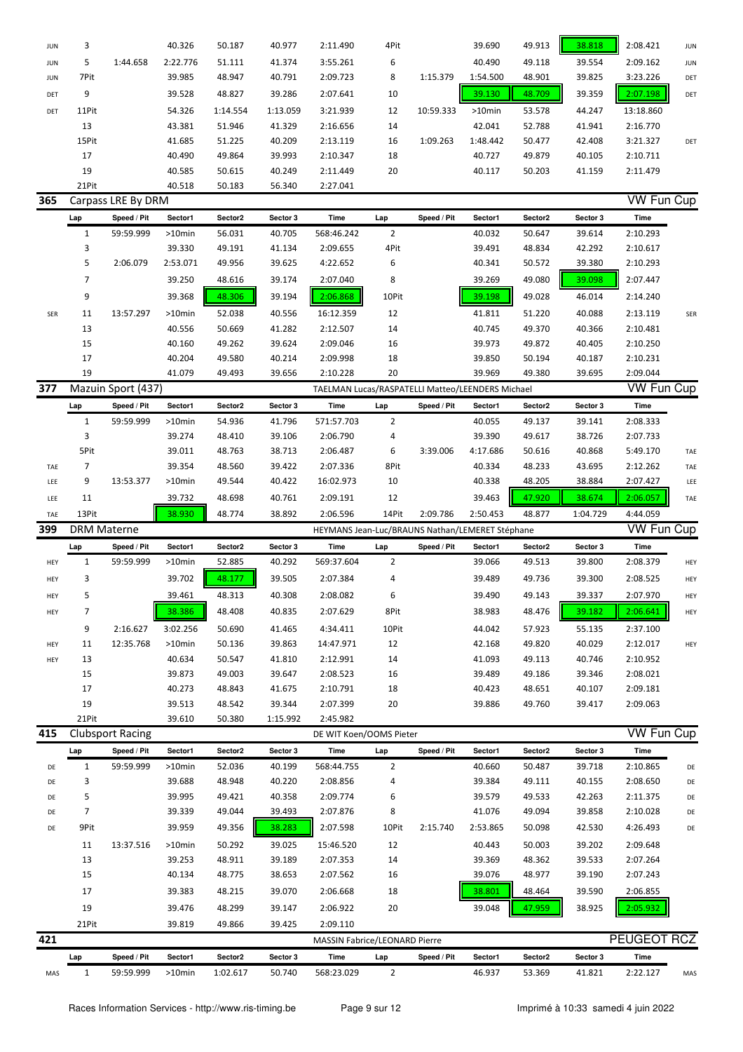| <b>JUN</b> | 3                  |                         | 40.326    | 50.187   | 40.977   | 2:11.490                                         | 4Pit           |             | 39.690   | 49.913  | 38.818   | 2:08.421          | <b>JUN</b> |
|------------|--------------------|-------------------------|-----------|----------|----------|--------------------------------------------------|----------------|-------------|----------|---------|----------|-------------------|------------|
| JUN        | 5                  | 1:44.658                | 2:22.776  | 51.111   | 41.374   | 3:55.261                                         | 6              |             | 40.490   | 49.118  | 39.554   | 2:09.162          | <b>JUN</b> |
| <b>JUN</b> | 7Pit               |                         | 39.985    | 48.947   | 40.791   | 2:09.723                                         | 8              | 1:15.379    | 1:54.500 | 48.901  | 39.825   | 3:23.226          | DET        |
| DET        | 9                  |                         | 39.528    | 48.827   | 39.286   | 2:07.641                                         | 10             |             | 39.130   | 48.709  | 39.359   | 2:07.198          | DET        |
| DET        | 11Pit              |                         | 54.326    | 1:14.554 | 1:13.059 | 3:21.939                                         | 12             | 10:59.333   | >10min   | 53.578  | 44.247   | 13:18.860         |            |
|            | 13                 |                         | 43.381    | 51.946   | 41.329   | 2:16.656                                         | 14             |             | 42.041   | 52.788  | 41.941   | 2:16.770          |            |
|            | 15Pit              |                         | 41.685    | 51.225   | 40.209   | 2:13.119                                         | 16             | 1:09.263    | 1:48.442 | 50.477  | 42.408   | 3:21.327          | DET        |
|            | 17                 |                         | 40.490    | 49.864   | 39.993   | 2:10.347                                         | 18             |             | 40.727   | 49.879  | 40.105   | 2:10.711          |            |
|            | 19                 |                         | 40.585    | 50.615   | 40.249   | 2:11.449                                         | 20             |             | 40.117   | 50.203  | 41.159   | 2:11.479          |            |
|            | 21Pit              |                         | 40.518    | 50.183   | 56.340   | 2:27.041                                         |                |             |          |         |          |                   |            |
| 365        |                    | Carpass LRE By DRM      |           |          |          |                                                  |                |             |          |         |          | <b>VW Fun Cup</b> |            |
|            | Lap                | Speed / Pit             | Sector1   | Sector2  | Sector 3 | Time                                             | Lap            | Speed / Pit | Sector1  | Sector2 | Sector 3 | Time              |            |
|            | $\mathbf{1}$       | 59:59.999               | $>10$ min | 56.031   | 40.705   | 568:46.242                                       | $\overline{2}$ |             | 40.032   | 50.647  | 39.614   | 2:10.293          |            |
|            | 3                  |                         | 39.330    | 49.191   | 41.134   | 2:09.655                                         | 4Pit           |             | 39.491   | 48.834  | 42.292   | 2:10.617          |            |
|            | 5                  | 2:06.079                | 2:53.071  | 49.956   | 39.625   | 4:22.652                                         | 6              |             | 40.341   | 50.572  | 39.380   | 2:10.293          |            |
|            |                    |                         |           |          |          |                                                  |                |             |          |         |          |                   |            |
|            | 7                  |                         | 39.250    | 48.616   | 39.174   | 2:07.040                                         | 8              |             | 39.269   | 49.080  | 39.098   | 2:07.447          |            |
|            | 9                  |                         | 39.368    | 48.306   | 39.194   | 2:06.868                                         | 10Pit          |             | 39.198   | 49.028  | 46.014   | 2:14.240          |            |
| SER        | 11                 | 13:57.297               | >10min    | 52.038   | 40.556   | 16:12.359                                        | 12             |             | 41.811   | 51.220  | 40.088   | 2:13.119          | SER        |
|            | 13                 |                         | 40.556    | 50.669   | 41.282   | 2:12.507                                         | 14             |             | 40.745   | 49.370  | 40.366   | 2:10.481          |            |
|            | 15                 |                         | 40.160    | 49.262   | 39.624   | 2:09.046                                         | 16             |             | 39.973   | 49.872  | 40.405   | 2:10.250          |            |
|            | 17                 |                         | 40.204    | 49.580   | 40.214   | 2:09.998                                         | 18             |             | 39.850   | 50.194  | 40.187   | 2:10.231          |            |
|            | 19                 |                         | 41.079    | 49.493   | 39.656   | 2:10.228                                         | 20             |             | 39.969   | 49.380  | 39.695   | 2:09.044          |            |
| 377        |                    | Mazuin Sport (437)      |           |          |          | TAELMAN Lucas/RASPATELLI Matteo/LEENDERS Michael |                |             |          |         |          | <b>VW Fun Cup</b> |            |
|            | Lap                | Speed / Pit             | Sector1   | Sector2  | Sector 3 | Time                                             | Lap            | Speed / Pit | Sector1  | Sector2 | Sector 3 | Time              |            |
|            | $\mathbf{1}$       | 59:59.999               | >10min    | 54.936   | 41.796   | 571:57.703                                       | $\overline{2}$ |             | 40.055   | 49.137  | 39.141   | 2:08.333          |            |
|            | 3                  |                         | 39.274    | 48.410   | 39.106   | 2:06.790                                         | 4              |             | 39.390   | 49.617  | 38.726   | 2:07.733          |            |
|            | 5Pit               |                         | 39.011    | 48.763   | 38.713   | 2:06.487                                         | 6              | 3:39.006    | 4:17.686 | 50.616  | 40.868   | 5:49.170          | TAE        |
| TAE        | 7                  |                         | 39.354    | 48.560   | 39.422   | 2:07.336                                         | 8Pit           |             | 40.334   | 48.233  | 43.695   | 2:12.262          | TAE        |
| LEE        | 9                  | 13:53.377               | >10min    | 49.544   | 40.422   | 16:02.973                                        | 10             |             | 40.338   | 48.205  | 38.884   | 2:07.427          | LEE        |
| LEE        | 11                 |                         | 39.732    | 48.698   | 40.761   | 2:09.191                                         | 12             |             | 39.463   | 47.920  | 38.674   | 2:06.057          | TAE        |
|            |                    |                         |           |          |          |                                                  |                |             |          |         |          |                   |            |
|            |                    |                         |           |          |          |                                                  |                |             |          |         |          |                   |            |
| TAE        | 13Pit              |                         | 38.930    | 48.774   | 38.892   | 2:06.596                                         | 14Pit          | 2:09.786    | 2:50.453 | 48.877  | 1:04.729 | 4:44.059          |            |
| 399        | <b>DRM Materne</b> |                         |           |          |          | HEYMANS Jean-Luc/BRAUNS Nathan/LEMERET Stéphane  |                |             |          |         |          | <b>VW Fun Cup</b> |            |
|            | Lap                | Speed / Pit             | Sector1   | Sector2  | Sector 3 | Time                                             | Lap            | Speed / Pit | Sector1  | Sector2 | Sector 3 | Time              |            |
| HEY        | $\mathbf{1}$       | 59:59.999               | >10min    | 52.885   | 40.292   | 569:37.604                                       | $\overline{2}$ |             | 39.066   | 49.513  | 39.800   | 2:08.379          | HEY        |
| HEY        | 3                  |                         | 39.702    | 48.177   | 39.505   | 2:07.384                                         | 4              |             | 39.489   | 49.736  | 39.300   | 2:08.525          | HEY        |
| HEY        |                    |                         | 39.461    | 48.313   | 40.308   | 2:08.082                                         | ĥ              |             | 39.490   | 49.143  | 39.337   | 2:07.970          | HEY        |
| HEY        | 7                  |                         | 38.386    | 48.408   | 40.835   | 2:07.629                                         | 8Pit           |             | 38.983   | 48.476  | 39.182   | 2:06.641          | HEY        |
|            | 9                  | 2:16.627                | 3:02.256  | 50.690   | 41.465   | 4:34.411                                         | 10Pit          |             | 44.042   | 57.923  | 55.135   | 2:37.100          |            |
| HEY        | 11                 | 12:35.768               | $>10$ min | 50.136   | 39.863   | 14:47.971                                        | 12             |             | 42.168   | 49.820  | 40.029   | 2:12.017          | HEY        |
| HEY        | 13                 |                         | 40.634    | 50.547   | 41.810   | 2:12.991                                         | 14             |             | 41.093   | 49.113  | 40.746   | 2:10.952          |            |
|            | 15                 |                         | 39.873    | 49.003   | 39.647   | 2:08.523                                         | 16             |             | 39.489   | 49.186  | 39.346   | 2:08.021          |            |
|            | 17                 |                         | 40.273    | 48.843   | 41.675   | 2:10.791                                         | 18             |             | 40.423   | 48.651  | 40.107   | 2:09.181          |            |
|            | 19                 |                         | 39.513    | 48.542   | 39.344   | 2:07.399                                         | 20             |             | 39.886   | 49.760  | 39.417   | 2:09.063          |            |
|            | 21Pit              |                         | 39.610    | 50.380   | 1:15.992 | 2:45.982                                         |                |             |          |         |          |                   |            |
| 415        |                    | <b>Clubsport Racing</b> |           |          |          | DE WIT Koen/OOMS Pieter                          |                |             |          |         |          | <b>VW Fun Cup</b> |            |
|            | Lap                | Speed / Pit             | Sector1   | Sector2  | Sector 3 | <b>Time</b>                                      | Lap            | Speed / Pit | Sector1  | Sector2 | Sector 3 | Time              |            |
|            |                    |                         |           |          |          |                                                  |                |             |          |         |          |                   |            |
| DE         | $\mathbf{1}$       | 59:59.999               | >10min    | 52.036   | 40.199   | 568:44.755                                       | $\overline{2}$ |             | 40.660   | 50.487  | 39.718   | 2:10.865          | DE         |
| DE         | 3                  |                         | 39.688    | 48.948   | 40.220   | 2:08.856                                         | 4              |             | 39.384   | 49.111  | 40.155   | 2:08.650          | DE         |
| DE         | 5                  |                         | 39.995    | 49.421   | 40.358   | 2:09.774                                         | 6              |             | 39.579   | 49.533  | 42.263   | 2:11.375          | DE         |
| DE         | 7                  |                         | 39.339    | 49.044   | 39.493   | 2:07.876                                         | 8              |             | 41.076   | 49.094  | 39.858   | 2:10.028          | DE         |
| DE         | 9Pit               |                         | 39.959    | 49.356   | 38.283   | 2:07.598                                         | 10Pit          | 2:15.740    | 2:53.865 | 50.098  | 42.530   | 4:26.493          | DE         |
|            | 11                 | 13:37.516               | >10min    | 50.292   | 39.025   | 15:46.520                                        | 12             |             | 40.443   | 50.003  | 39.202   | 2:09.648          |            |
|            | 13                 |                         | 39.253    | 48.911   | 39.189   | 2:07.353                                         | 14             |             | 39.369   | 48.362  | 39.533   | 2:07.264          |            |
|            | 15                 |                         | 40.134    | 48.775   | 38.653   | 2:07.562                                         | 16             |             | 39.076   | 48.977  | 39.190   | 2:07.243          |            |
|            | 17                 |                         | 39.383    | 48.215   | 39.070   | 2:06.668                                         | 18             |             | 38.801   | 48.464  | 39.590   | 2:06.855          |            |
|            | 19                 |                         | 39.476    | 48.299   | 39.147   | 2:06.922                                         | 20             |             | 39.048   | 47.959  | 38.925   | 2:05.932          |            |
|            | 21Pit              |                         | 39.819    | 49.866   | 39.425   | 2:09.110                                         |                |             |          |         |          |                   |            |
| 421        |                    |                         |           |          |          | <b>MASSIN Fabrice/LEONARD Pierre</b>             |                |             |          |         |          | PEUGEOT RCZ       |            |
|            | Lap                | Speed / Pit             | Sector1   | Sector2  | Sector 3 | Time                                             | Lap            | Speed / Pit | Sector1  | Sector2 | Sector 3 | Time              |            |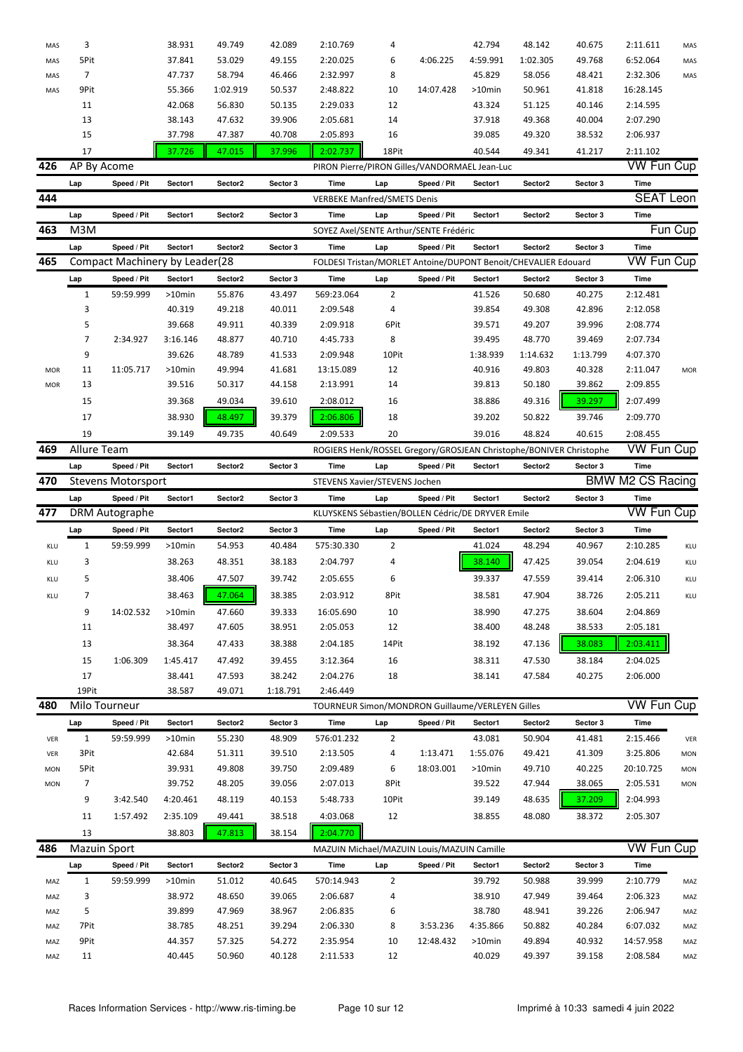| MAS        | 3                   |                                      | 38.931           | 49.749           | 42.089           | 2:10.769                                                           | 4              |             | 42.794              | 48.142           | 40.675           | 2:11.611                | MAS        |
|------------|---------------------|--------------------------------------|------------------|------------------|------------------|--------------------------------------------------------------------|----------------|-------------|---------------------|------------------|------------------|-------------------------|------------|
| MAS        | 5Pit                |                                      | 37.841           | 53.029           | 49.155           | 2:20.025                                                           | 6              | 4:06.225    | 4:59.991            | 1:02.305         | 49.768           | 6:52.064                | MAS        |
| MAS        | $\overline{7}$      |                                      | 47.737           | 58.794           | 46.466           | 2:32.997                                                           | 8              |             | 45.829              | 58.056           | 48.421           | 2:32.306                | MAS        |
| MAS        | 9Pit                |                                      | 55.366           | 1:02.919         | 50.537           | 2:48.822                                                           | 10             | 14:07.428   | >10min              | 50.961           | 41.818           | 16:28.145               |            |
|            | 11                  |                                      | 42.068           | 56.830           | 50.135           | 2:29.033                                                           | 12             |             | 43.324              | 51.125           | 40.146           | 2:14.595                |            |
|            | 13                  |                                      | 38.143           | 47.632           | 39.906           | 2:05.681                                                           | 14             |             | 37.918              | 49.368           | 40.004           | 2:07.290                |            |
|            | 15                  |                                      | 37.798           | 47.387           | 40.708           | 2:05.893                                                           | 16             |             | 39.085              | 49.320           | 38.532           | 2:06.937                |            |
|            | 17                  |                                      | 37.726           | 47.015           | 37.996           | 2:02.737                                                           | 18Pit          |             | 40.544              | 49.341           | 41.217           | 2:11.102                |            |
| 426        | AP By Acome         |                                      |                  |                  |                  | PIRON Pierre/PIRON Gilles/VANDORMAEL Jean-Luc                      |                |             |                     |                  |                  | <b>VW Fun Cup</b>       |            |
|            | Lap                 | Speed / Pit                          | Sector1          | Sector2          | Sector 3         | Time                                                               | Lap            | Speed / Pit | Sector1             | Sector2          | Sector 3         | Time                    |            |
| 444        |                     |                                      |                  |                  |                  | <b>VERBEKE Manfred/SMETS Denis</b>                                 |                |             |                     |                  |                  | <b>SEAT Leon</b>        |            |
|            | Lap                 | Speed / Pit                          | Sector1          | Sector2          | Sector 3         | Time                                                               | Lap            | Speed / Pit | Sector1             | Sector2          | Sector 3         | Time                    |            |
| 463        | M3M                 |                                      |                  |                  |                  | SOYEZ Axel/SENTE Arthur/SENTE Frédéric                             |                |             |                     |                  |                  |                         | Fun Cup    |
|            | Lap                 | Speed / Pit                          | Sector1          | Sector2          | Sector 3         | Time                                                               | Lap            | Speed / Pit | Sector1             | Sector2          | Sector 3         | Time                    |            |
| 465        |                     | Compact Machinery by Leader(28       |                  |                  |                  | FOLDESI Tristan/MORLET Antoine/DUPONT Benoit/CHEVALIER Edouard     |                |             |                     |                  |                  | VW Fun Cup              |            |
|            | Lap                 | Speed / Pit                          | Sector1          | Sector2          | Sector 3         | Time                                                               | Lap            | Speed / Pit | Sector1             | Sector2          | Sector 3         | Time                    |            |
|            | $\mathbf{1}$        | 59:59.999                            | >10min           | 55.876           | 43.497           | 569:23.064                                                         | 2              |             | 41.526              | 50.680           | 40.275           | 2:12.481                |            |
|            | 3                   |                                      | 40.319           | 49.218           | 40.011           | 2:09.548                                                           | 4              |             | 39.854              | 49.308           | 42.896           | 2:12.058                |            |
|            | 5                   |                                      | 39.668           | 49.911           | 40.339           | 2:09.918                                                           | 6Pit           |             | 39.571              | 49.207           | 39.996           | 2:08.774                |            |
|            | 7                   | 2:34.927                             | 3:16.146         | 48.877           | 40.710           | 4:45.733                                                           | 8              |             | 39.495              | 48.770           | 39.469           | 2:07.734                |            |
|            | 9                   |                                      | 39.626           | 48.789           | 41.533           | 2:09.948                                                           | 10Pit          |             | 1:38.939            | 1:14.632         | 1:13.799         | 4:07.370                |            |
| MOR        | 11                  | 11:05.717                            | >10min           | 49.994           | 41.681           | 13:15.089                                                          | 12             |             | 40.916              | 49.803           | 40.328           | 2:11.047                | <b>MOR</b> |
| MOR        | 13                  |                                      | 39.516           | 50.317           | 44.158           | 2:13.991                                                           | 14             |             | 39.813              | 50.180           | 39.862           | 2:09.855                |            |
|            | 15                  |                                      | 39.368           | 49.034           | 39.610           | 2:08.012                                                           | 16             |             | 38.886              | 49.316           | 39.297           | 2:07.499                |            |
|            | 17                  |                                      | 38.930           | 48.497           | 39.379           | 2:06.806                                                           | 18             |             | 39.202              | 50.822           | 39.746           | 2:09.770                |            |
|            | 19                  |                                      | 39.149           | 49.735           | 40.649           | 2:09.533                                                           | 20             |             | 39.016              | 48.824           | 40.615           | 2:08.455                |            |
| 469        | Allure Team         |                                      |                  |                  |                  | ROGIERS Henk/ROSSEL Gregory/GROSJEAN Christophe/BONIVER Christophe |                |             |                     |                  |                  | VW Fun Cup              |            |
|            | Lap                 | Speed / Pit                          | Sector1          | Sector2          | Sector 3         | Time                                                               | Lap            | Speed / Pit | Sector1             | Sector2          | Sector 3         | Time                    |            |
| 470        |                     | <b>Stevens Motorsport</b>            |                  |                  |                  | STEVENS Xavier/STEVENS Jochen                                      |                |             |                     |                  |                  | <b>BMW M2 CS Racing</b> |            |
|            | Lap                 | Speed / Pit                          | Sector1          | Sector2          | Sector 3         | Time                                                               | Lap            | Speed / Pit | Sector1             | Sector2          | Sector 3         | Time                    |            |
|            |                     |                                      |                  |                  |                  |                                                                    |                |             |                     |                  |                  |                         |            |
| 477        |                     |                                      |                  |                  |                  | KLUYSKENS Sébastien/BOLLEN Cédric/DE DRYVER Emile                  |                |             |                     |                  |                  | <b>VW Fun Cup</b>       |            |
|            | Lap                 | <b>DRM Autographe</b><br>Speed / Pit | Sector1          | Sector2          | Sector 3         | Time                                                               | Lap            | Speed / Pit | Sector1             | Sector2          | Sector 3         | Time                    |            |
| KLU        | $\mathbf{1}$        | 59:59.999                            | >10min           | 54.953           | 40.484           | 575:30.330                                                         | $\overline{2}$ |             | 41.024              | 48.294           | 40.967           | 2:10.285                | KLU        |
|            |                     |                                      |                  |                  |                  |                                                                    |                |             |                     |                  |                  |                         |            |
| KLU        | 3                   |                                      | 38.263           | 48.351           | 38.183           | 2:04.797                                                           | 4              |             | 38.140              | 47.425           | 39.054           | 2:04.619                | KLU        |
| KLU        | 5                   |                                      | 38.406           | 47.507           | 39.742           | 2:05.655                                                           | 6              |             | 39.337              | 47.559           | 39.414           | 2:06.310                | KLU        |
| KLU        | 7                   |                                      | 38.463           | 47.064           | 38.385           | 2:03.912                                                           | 8Pit           |             | 38.581              | 47.904           | 38.726           | 2:05.211                | KLU        |
|            | 9                   | 14:02.532                            | >10min           | 47.660           | 39.333           | 16:05.690                                                          | 10             |             | 38.990              | 47.275           | 38.604           | 2:04.869                |            |
|            | 11                  |                                      | 38.497           | 47.605           | 38.951           | 2:05.053                                                           | 12             |             | 38.400              | 48.248           | 38.533           | 2:05.181                |            |
|            | 13                  |                                      | 38.364           | 47.433           | 38.388           | 2:04.185                                                           | 14Pit          |             | 38.192              | 47.136           | 38.083           | 2:03.411                |            |
|            | 15                  | 1:06.309                             | 1:45.417         | 47.492           | 39.455           | 3:12.364                                                           | 16             |             | 38.311              | 47.530           | 38.184           | 2:04.025                |            |
|            | 17                  |                                      | 38.441           | 47.593           | 38.242           | 2:04.276                                                           | 18             |             | 38.141              | 47.584           | 40.275           | 2:06.000                |            |
|            | 19Pit               |                                      | 38.587           | 49.071           | 1:18.791         | 2:46.449                                                           |                |             |                     |                  |                  |                         |            |
| 480        |                     | Milo Tourneur                        |                  |                  |                  | TOURNEUR Simon/MONDRON Guillaume/VERLEYEN Gilles                   |                |             |                     |                  |                  | <b>VW Fun Cup</b>       |            |
|            | Lap                 | Speed / Pit                          | Sector1          | Sector2          | Sector 3         | Time                                                               | Lap            | Speed / Pit | Sector1             | Sector2          | Sector 3         | Time                    |            |
| VER        | $\mathbf{1}$        | 59:59.999                            | >10min           | 55.230           | 48.909           | 576:01.232                                                         | $\overline{2}$ |             | 43.081              | 50.904           | 41.481           | 2:15.466                | VER        |
| VER        | 3Pit                |                                      | 42.684           | 51.311           | 39.510           | 2:13.505                                                           | 4              | 1:13.471    | 1:55.076            | 49.421           | 41.309           | 3:25.806                | <b>MON</b> |
| <b>MON</b> | 5Pit                |                                      | 39.931           | 49.808           | 39.750           | 2:09.489                                                           | 6              | 18:03.001   | >10min              | 49.710           | 40.225           | 20:10.725               | <b>MON</b> |
| <b>MON</b> | 7                   |                                      | 39.752           | 48.205           | 39.056           | 2:07.013                                                           | 8Pit           |             | 39.522              | 47.944           | 38.065           | 2:05.531                | <b>MON</b> |
|            | 9                   | 3:42.540                             | 4:20.461         | 48.119           | 40.153           | 5:48.733                                                           | 10Pit          |             | 39.149              | 48.635           | 37.209           | 2:04.993                |            |
|            | 11                  | 1:57.492                             | 2:35.109         | 49.441           | 38.518           | 4:03.068                                                           | 12             |             | 38.855              | 48.080           | 38.372           | 2:05.307                |            |
|            | 13                  |                                      | 38.803           | 47.813           | 38.154           | 2:04.770                                                           |                |             |                     |                  |                  |                         |            |
| 486        | <b>Mazuin Sport</b> |                                      |                  |                  |                  | MAZUIN Michael/MAZUIN Louis/MAZUIN Camille                         |                |             |                     |                  |                  | <b>VW Fun Cup</b>       |            |
|            | Lap                 | Speed / Pit                          | Sector1          | Sector2          | Sector 3         | Time                                                               | Lap            | Speed / Pit | Sector1             | Sector2          | Sector 3         | Time                    |            |
| MAZ        | $\mathbf{1}$        | 59:59.999                            | >10min           | 51.012           | 40.645           | 570:14.943                                                         | $\overline{2}$ |             | 39.792              | 50.988           | 39.999           | 2:10.779                | MAZ        |
| MAZ        | 3                   |                                      | 38.972           | 48.650           | 39.065           | 2:06.687                                                           | 4              |             | 38.910              | 47.949           | 39.464           | 2:06.323                | MAZ        |
| MAZ        | 5                   |                                      | 39.899           | 47.969           | 38.967           | 2:06.835                                                           | 6              |             | 38.780              | 48.941           | 39.226           | 2:06.947                | MAZ        |
| MAZ        | 7Pit                |                                      | 38.785           | 48.251           | 39.294           | 2:06.330                                                           | 8              | 3:53.236    | 4:35.866            | 50.882           | 40.284           | 6:07.032                | MAZ        |
| MAZ<br>MAZ | 9Pit<br>11          |                                      | 44.357<br>40.445 | 57.325<br>50.960 | 54.272<br>40.128 | 2:35.954<br>2:11.533                                               | 10<br>12       | 12:48.432   | $>10$ min<br>40.029 | 49.894<br>49.397 | 40.932<br>39.158 | 14:57.958<br>2:08.584   | MAZ<br>MAZ |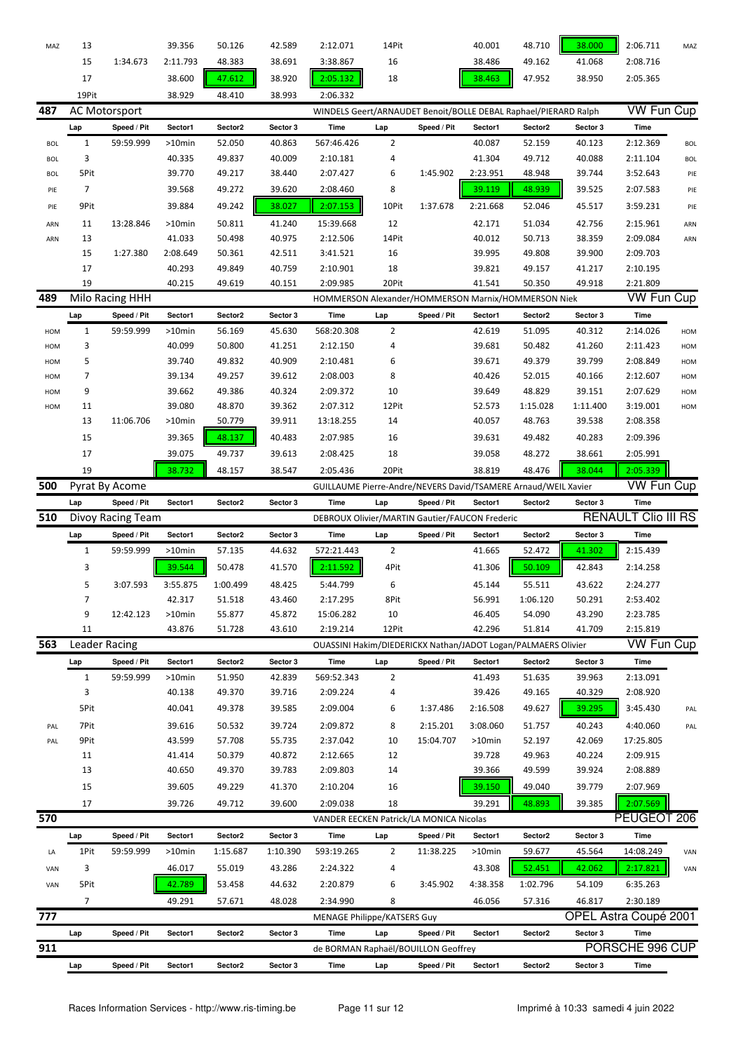| MAZ        | 13            |                      | 39.356    | 50.126   | 42.589   | 2:12.071                                                        | 14Pit          |             | 40.001   | 48.710   | 38.000   | 2:06.711                   | MAZ        |
|------------|---------------|----------------------|-----------|----------|----------|-----------------------------------------------------------------|----------------|-------------|----------|----------|----------|----------------------------|------------|
|            | 15            | 1:34.673             | 2:11.793  | 48.383   | 38.691   | 3:38.867                                                        | 16             |             | 38.486   | 49.162   | 41.068   | 2:08.716                   |            |
|            | 17            |                      | 38.600    | 47.612   | 38.920   | 2:05.132                                                        | 18             |             | 38.463   | 47.952   | 38.950   | 2:05.365                   |            |
|            | 19Pit         |                      | 38.929    | 48.410   | 38.993   | 2:06.332                                                        |                |             |          |          |          |                            |            |
| 487        |               | <b>AC Motorsport</b> |           |          |          | WINDELS Geert/ARNAUDET Benoit/BOLLE DEBAL Raphael/PIERARD Ralph |                |             |          |          |          | <b>VW Fun Cup</b>          |            |
|            | Lap           | Speed / Pit          | Sector1   | Sector2  | Sector 3 | <b>Time</b>                                                     | Lap            | Speed / Pit | Sector1  | Sector2  | Sector 3 | Time                       |            |
| <b>BOL</b> | $\mathbf{1}$  | 59:59.999            | $>10$ min | 52.050   | 40.863   | 567:46.426                                                      | $\overline{2}$ |             | 40.087   | 52.159   | 40.123   | 2:12.369                   | <b>BOL</b> |
| <b>BOL</b> | 3             |                      | 40.335    | 49.837   | 40.009   | 2:10.181                                                        | 4              |             | 41.304   | 49.712   | 40.088   | 2:11.104                   | <b>BOL</b> |
| <b>BOL</b> | 5Pit          |                      | 39.770    | 49.217   | 38.440   | 2:07.427                                                        | 6              | 1:45.902    | 2:23.951 | 48.948   | 39.744   | 3:52.643                   | PIE        |
| PIE        | 7             |                      | 39.568    | 49.272   | 39.620   | 2:08.460                                                        | 8              |             | 39.119   | 48.939   | 39.525   | 2:07.583                   | PIE        |
| PIE        | 9Pit          |                      | 39.884    | 49.242   | 38.027   | 2:07.153                                                        | 10Pit          | 1:37.678    | 2:21.668 | 52.046   | 45.517   | 3:59.231                   | PIE        |
|            |               |                      |           |          |          |                                                                 |                |             |          |          |          |                            |            |
| ARN        | 11            | 13:28.846            | $>10$ min | 50.811   | 41.240   | 15:39.668                                                       | 12             |             | 42.171   | 51.034   | 42.756   | 2:15.961                   | ARN        |
| ARN        | 13            |                      | 41.033    | 50.498   | 40.975   | 2:12.506                                                        | 14Pit          |             | 40.012   | 50.713   | 38.359   | 2:09.084                   | ARN        |
|            | 15            | 1:27.380             | 2:08.649  | 50.361   | 42.511   | 3:41.521                                                        | 16             |             | 39.995   | 49.808   | 39.900   | 2:09.703                   |            |
|            | 17            |                      | 40.293    | 49.849   | 40.759   | 2:10.901                                                        | 18             |             | 39.821   | 49.157   | 41.217   | 2:10.195                   |            |
|            | 19            |                      | 40.215    | 49.619   | 40.151   | 2:09.985                                                        | 20Pit          |             | 41.541   | 50.350   | 49.918   | 2:21.809                   |            |
| 489        |               | Milo Racing HHH      |           |          |          | HOMMERSON Alexander/HOMMERSON Marnix/HOMMERSON Niek             |                |             |          |          |          | <b>VW Fun Cup</b>          |            |
|            | Lap           | Speed / Pit          | Sector1   | Sector2  | Sector 3 | Time                                                            | Lap            | Speed / Pit | Sector1  | Sector2  | Sector 3 | Time                       |            |
| HOM        | $\mathbf{1}$  | 59:59.999            | $>10$ min | 56.169   | 45.630   | 568:20.308                                                      | 2              |             | 42.619   | 51.095   | 40.312   | 2:14.026                   | HOM        |
| HOM        | 3             |                      | 40.099    | 50.800   | 41.251   | 2:12.150                                                        | 4              |             | 39.681   | 50.482   | 41.260   | 2:11.423                   | HOM        |
| HOM        | 5             |                      | 39.740    | 49.832   | 40.909   | 2:10.481                                                        | 6              |             | 39.671   | 49.379   | 39.799   | 2:08.849                   | HOM        |
| HOM        | 7             |                      | 39.134    | 49.257   | 39.612   | 2:08.003                                                        | 8              |             | 40.426   | 52.015   | 40.166   | 2:12.607                   | HOM        |
| HOM        | 9             |                      | 39.662    | 49.386   | 40.324   | 2:09.372                                                        | 10             |             | 39.649   | 48.829   | 39.151   | 2:07.629                   | HOM        |
| HOM        | 11            |                      | 39.080    | 48.870   | 39.362   | 2:07.312                                                        | 12Pit          |             | 52.573   | 1:15.028 | 1:11.400 | 3:19.001                   | HOM        |
|            | 13            | 11:06.706            | $>10$ min | 50.779   | 39.911   | 13:18.255                                                       | 14             |             | 40.057   | 48.763   | 39.538   | 2:08.358                   |            |
|            | 15            |                      | 39.365    | 48.137   | 40.483   | 2:07.985                                                        | 16             |             | 39.631   | 49.482   | 40.283   | 2:09.396                   |            |
|            | 17            |                      | 39.075    | 49.737   | 39.613   | 2:08.425                                                        | 18             |             | 39.058   | 48.272   | 38.661   | 2:05.991                   |            |
|            | 19            |                      | 38.732    | 48.157   | 38.547   | 2:05.436                                                        | 20Pit          |             | 38.819   | 48.476   | 38.044   | 2:05.339                   |            |
| 500        |               | Pyrat By Acome       |           |          |          | GUILLAUME Pierre-Andre/NEVERS David/TSAMERE Arnaud/WEIL Xavier  |                |             |          |          |          | <b>VW Fun Cup</b>          |            |
|            | Lap           | Speed / Pit          | Sector1   | Sector2  | Sector 3 | Time                                                            | Lap            | Speed / Pit | Sector1  | Sector2  | Sector 3 | Time                       |            |
|            |               |                      |           |          |          |                                                                 |                |             |          |          |          |                            |            |
| 510        |               | Divoy Racing Team    |           |          |          | DEBROUX Olivier/MARTIN Gautier/FAUCON Frederic                  |                |             |          |          |          | <b>RENAULT Clio III RS</b> |            |
|            | Lap           | Speed / Pit          | Sector1   | Sector2  | Sector 3 | Time                                                            | Lap            | Speed / Pit | Sector1  | Sector2  | Sector 3 | Time                       |            |
|            |               |                      |           |          |          |                                                                 | $\overline{2}$ |             | 41.665   | 52.472   |          |                            |            |
|            | $\mathbf{1}$  | 59:59.999            | $>10$ min | 57.135   | 44.632   | 572:21.443                                                      |                |             |          |          | 41.302   | 2:15.439                   |            |
|            | 3             |                      | 39.544    | 50.478   | 41.570   | 2:11.592                                                        | 4Pit           |             | 41.306   | 50.109   | 42.843   | 2:14.258                   |            |
|            | 5             | 3:07.593             | 3:55.875  | 1:00.499 | 48.425   | 5:44.799                                                        | 6              |             | 45.144   | 55.511   | 43.622   | 2:24.277                   |            |
|            | 7             |                      | 42.317    | 51.518   | 43.460   | 2:17.295                                                        | 8Pit           |             | 56.991   | 1:06.120 | 50.291   | 2:53.402                   |            |
|            | 9             | 12:42.123            | $>10$ min | 55.877   | 45.872   | 15:06.282                                                       | 10             |             | 46.405   | 54.090   | 43.290   | 2:23.785                   |            |
|            | 11            |                      | 43.876    | 51.728   | 43.610   | 2:19.214                                                        | 12Pit          |             | 42.296   | 51.814   | 41.709   | 2:15.819                   |            |
| 563        | Leader Racing |                      |           |          |          | OUASSINI Hakim/DIEDERICKX Nathan/JADOT Logan/PALMAERS Olivier   |                |             |          |          |          | <b>VW Fun Cup</b>          |            |
|            | Lap           | Speed / Pit          | Sector1   | Sector2  | Sector 3 | Time                                                            | Lap            | Speed / Pit | Sector1  | Sector2  | Sector 3 | Time                       |            |
|            | $\mathbf{1}$  | 59:59.999            | $>10$ min | 51.950   | 42.839   | 569:52.343                                                      | $\overline{2}$ |             | 41.493   | 51.635   | 39.963   | 2:13.091                   |            |
|            | 3             |                      | 40.138    | 49.370   | 39.716   | 2:09.224                                                        | 4              |             | 39.426   | 49.165   | 40.329   | 2:08.920                   |            |
|            | 5Pit          |                      | 40.041    | 49.378   | 39.585   | 2:09.004                                                        | 6              | 1:37.486    | 2:16.508 | 49.627   | 39.295   | 3:45.430                   | PAL        |
| PAL        | 7Pit          |                      | 39.616    | 50.532   | 39.724   | 2:09.872                                                        | 8              | 2:15.201    | 3:08.060 | 51.757   | 40.243   | 4:40.060                   | PAL        |
| PAL        | 9Pit          |                      | 43.599    | 57.708   | 55.735   | 2:37.042                                                        | 10             | 15:04.707   | >10min   | 52.197   | 42.069   | 17:25.805                  |            |
|            | 11            |                      | 41.414    | 50.379   | 40.872   | 2:12.665                                                        | 12             |             | 39.728   | 49.963   | 40.224   | 2:09.915                   |            |
|            | 13            |                      | 40.650    | 49.370   | 39.783   | 2:09.803                                                        | 14             |             | 39.366   | 49.599   | 39.924   | 2:08.889                   |            |
|            | 15            |                      | 39.605    | 49.229   | 41.370   | 2:10.204                                                        | 16             |             | 39.150   | 49.040   | 39.779   | 2:07.969                   |            |
|            | 17            |                      | 39.726    | 49.712   | 39.600   | 2:09.038                                                        | 18             |             | 39.291   | 48.893   | 39.385   | 2:07.569                   |            |
| 570        |               |                      |           |          |          | VANDER EECKEN Patrick/LA MONICA Nicolas                         |                |             |          |          |          | PEUGEOT 206                |            |
|            | Lap           | Speed / Pit          | Sector1   | Sector2  | Sector 3 | Time                                                            | Lap            | Speed / Pit | Sector1  | Sector2  | Sector 3 | Time                       |            |
| LA         | 1Pit          | 59:59.999            | >10min    | 1:15.687 | 1:10.390 | 593:19.265                                                      | 2              | 11:38.225   | >10min   | 59.677   | 45.564   | 14:08.249                  | VAN        |
|            |               |                      |           |          |          |                                                                 |                |             |          |          |          |                            |            |
| VAN        | 3             |                      | 46.017    | 55.019   | 43.286   | 2:24.322                                                        | 4              |             | 43.308   | 52.451   | 42.062   | 2:17.821                   | VAN        |
| VAN        | 5Pit          |                      | 42.789    | 53.458   | 44.632   | 2:20.879                                                        | 6              | 3:45.902    | 4:38.358 | 1:02.796 | 54.109   | 6:35.263                   |            |
|            | 7             |                      | 49.291    | 57.671   | 48.028   | 2:34.990                                                        | 8              |             | 46.056   | 57.316   | 46.817   | 2:30.189                   |            |
| 777        |               |                      |           |          |          | <b>MENAGE Philippe/KATSERS Guy</b>                              |                |             |          |          |          | OPEL Astra Coupé 2001      |            |
|            | Lap           | Speed / Pit          | Sector1   | Sector2  | Sector 3 | Time                                                            | Lap            | Speed / Pit | Sector1  | Sector2  | Sector 3 | Time                       |            |
| 911        |               |                      |           | Sector2  | Sector 3 | de BORMAN Raphaël/BOUILLON Geoffrey<br>Time                     | Lap            |             | Sector1  | Sector2  | Sector 3 | PORSCHE 996 CUP<br>Time    |            |